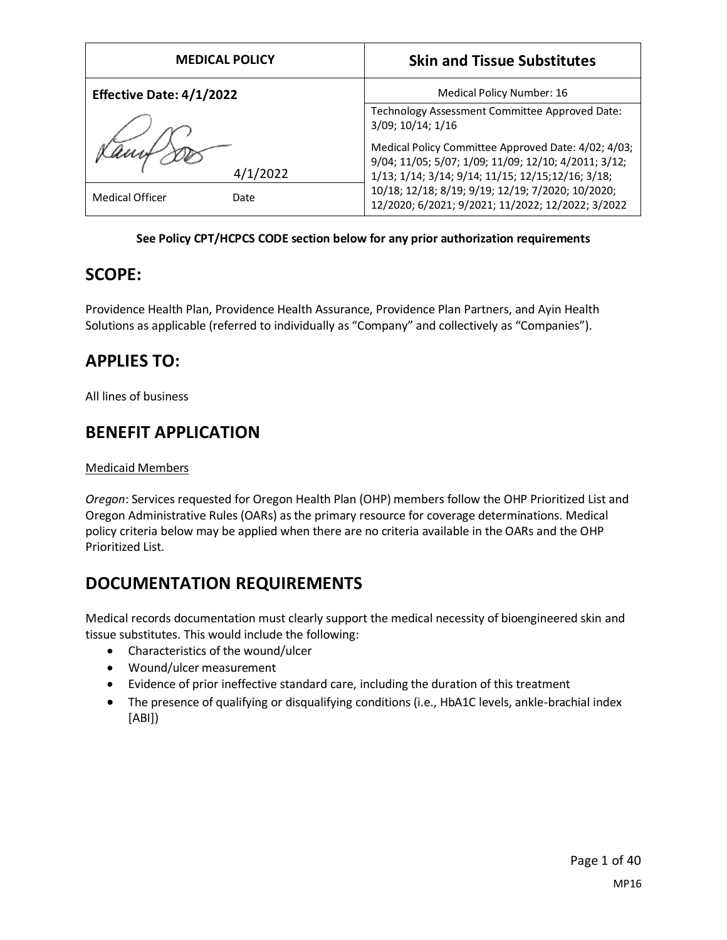| <b>MEDICAL POLICY</b>          | <b>Skin and Tissue Substitutes</b>                                                                                                                                |
|--------------------------------|-------------------------------------------------------------------------------------------------------------------------------------------------------------------|
| Effective Date: 4/1/2022       | Medical Policy Number: 16                                                                                                                                         |
|                                | Technology Assessment Committee Approved Date:<br>3/09; 10/14; 1/16                                                                                               |
| /2022                          | Medical Policy Committee Approved Date: 4/02; 4/03;<br>9/04; 11/05; 5/07; 1/09; 11/09; 12/10; 4/2011; 3/12;<br>1/13; 1/14; 3/14; 9/14; 11/15; 12/15; 12/16; 3/18; |
| <b>Medical Officer</b><br>Date | 10/18; 12/18; 8/19; 9/19; 12/19; 7/2020; 10/2020;<br>12/2020; 6/2021; 9/2021; 11/2022; 12/2022; 3/2022                                                            |

### **See Policy CPT/HCPCS CODE section below for any prior authorization requirements**

### **SCOPE:**

Providence Health Plan, Providence Health Assurance, Providence Plan Partners, and Ayin Health Solutions as applicable (referred to individually as "Company" and collectively as "Companies").

### **APPLIES TO:**

All lines of business

# **BENEFIT APPLICATION**

### Medicaid Members

*Oregon*: Services requested for Oregon Health Plan (OHP) members follow the OHP Prioritized List and Oregon Administrative Rules (OARs) as the primary resource for coverage determinations. Medical policy criteria below may be applied when there are no criteria available in the OARs and the OHP Prioritized List.

# **DOCUMENTATION REQUIREMENTS**

Medical records documentation must clearly support the medical necessity of bioengineered skin and tissue substitutes. This would include the following:

- Characteristics of the wound/ulcer
- Wound/ulcer measurement
- Evidence of prior ineffective standard care, including the duration of this treatment
- The presence of qualifying or disqualifying conditions (i.e., HbA1C levels, ankle-brachial index [ABI])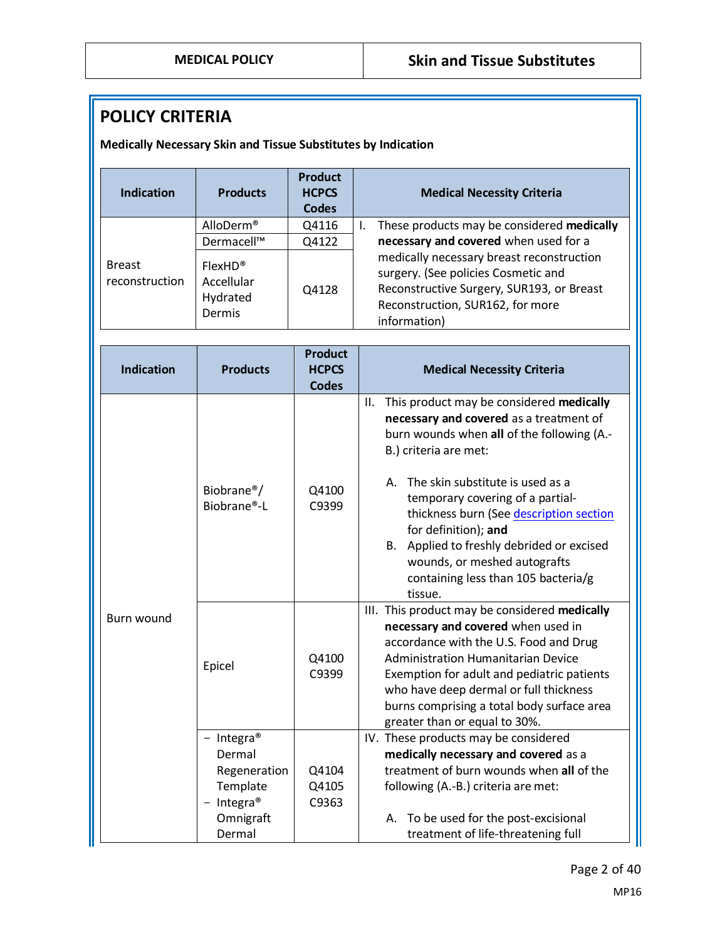# **POLICY CRITERIA**

**Medically Necessary Skin and Tissue Substitutes by Indication**

| <b>Indication</b>               | <b>Products</b>                                         | <b>Product</b><br><b>HCPCS</b><br><b>Codes</b> | <b>Medical Necessity Criteria</b>                                                                                                                                                 |
|---------------------------------|---------------------------------------------------------|------------------------------------------------|-----------------------------------------------------------------------------------------------------------------------------------------------------------------------------------|
|                                 | AlloDerm <sup>®</sup>                                   | Q4116                                          | These products may be considered medically<br>Ι.                                                                                                                                  |
|                                 | Dermacell™                                              | Q4122                                          | necessary and covered when used for a                                                                                                                                             |
| <b>Breast</b><br>reconstruction | FlexHD <sup>®</sup><br>Accellular<br>Hydrated<br>Dermis | Q4128                                          | medically necessary breast reconstruction<br>surgery. (See policies Cosmetic and<br>Reconstructive Surgery, SUR193, or Breast<br>Reconstruction, SUR162, for more<br>information) |
| <b>Indication</b>               | <b>Products</b>                                         | <b>Product</b><br><b>HCPCS</b><br><b>Codes</b> | <b>Medical Necessity Criteria</b>                                                                                                                                                 |
|                                 |                                                         |                                                | This product may be considered medically<br>ΙΙ.<br>necessary and covered as a treatment of<br>burn wounds when all of the following (A.-<br>B.) criteria are met:                 |
|                                 | Biobrane <sup>®</sup> /<br>Biobrane®-L                  | Q4100<br>C9399                                 | The skin substitute is used as a<br>Α.<br>temporary covering of a partial-<br>thickness burn (See description section                                                             |

|            | DIUDI dIIE -L                  | しフコフフ          | thickness burn (See description section<br>for definition); and<br>Applied to freshly debrided or excised<br>В.<br>wounds, or meshed autografts<br>containing less than 105 bacteria/g<br>tissue.                                                                                                                                          |
|------------|--------------------------------|----------------|--------------------------------------------------------------------------------------------------------------------------------------------------------------------------------------------------------------------------------------------------------------------------------------------------------------------------------------------|
| Burn wound | Epicel                         | Q4100<br>C9399 | III. This product may be considered medically<br>necessary and covered when used in<br>accordance with the U.S. Food and Drug<br>Administration Humanitarian Device<br>Exemption for adult and pediatric patients<br>who have deep dermal or full thickness<br>burns comprising a total body surface area<br>greater than or equal to 30%. |
|            | Integra <sup>®</sup><br>Dermal |                | IV. These products may be considered<br>medically necessary and covered as a                                                                                                                                                                                                                                                               |
|            | Regeneration                   | Q4104          | treatment of burn wounds when all of the                                                                                                                                                                                                                                                                                                   |
|            | Template                       | Q4105          | following (A.-B.) criteria are met:                                                                                                                                                                                                                                                                                                        |
|            | Integra <sup>®</sup>           | C9363          |                                                                                                                                                                                                                                                                                                                                            |
|            | Omnigraft                      |                | A. To be used for the post-excisional                                                                                                                                                                                                                                                                                                      |
|            | Dermal                         |                | treatment of life-threatening full                                                                                                                                                                                                                                                                                                         |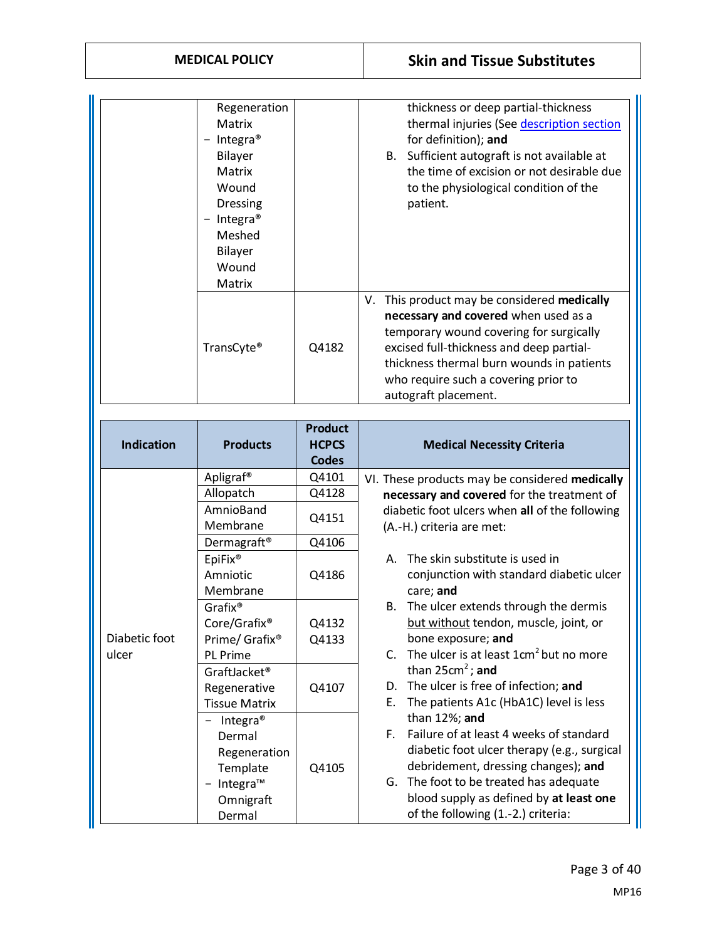| Regeneration<br>Matrix<br>Integra <sup>®</sup><br>Bilayer<br>Matrix<br>Wound<br><b>Dressing</b><br>Integra <sup>®</sup><br>$\overline{\phantom{m}}$<br>Meshed<br><b>Bilayer</b><br>Wound<br>Matrix |       | thickness or deep partial-thickness<br>thermal injuries (See description section<br>for definition); and<br>Sufficient autograft is not available at<br>B.<br>the time of excision or not desirable due<br>to the physiological condition of the<br>patient.                               |
|----------------------------------------------------------------------------------------------------------------------------------------------------------------------------------------------------|-------|--------------------------------------------------------------------------------------------------------------------------------------------------------------------------------------------------------------------------------------------------------------------------------------------|
| TransCyte®                                                                                                                                                                                         | Q4182 | This product may be considered medically<br>V.<br>necessary and covered when used as a<br>temporary wound covering for surgically<br>excised full-thickness and deep partial-<br>thickness thermal burn wounds in patients<br>who require such a covering prior to<br>autograft placement. |

| <b>Indication</b> | <b>Products</b>            | <b>Product</b><br><b>HCPCS</b><br><b>Codes</b> | <b>Medical Necessity Criteria</b>                                  |
|-------------------|----------------------------|------------------------------------------------|--------------------------------------------------------------------|
|                   | Apligraf <sup>®</sup>      | Q4101                                          | VI. These products may be considered medically                     |
|                   | Allopatch                  | Q4128                                          | necessary and covered for the treatment of                         |
|                   | AmnioBand                  | Q4151                                          | diabetic foot ulcers when all of the following                     |
|                   | Membrane                   |                                                | (A.-H.) criteria are met:                                          |
|                   | Dermagraft <sup>®</sup>    | Q4106                                          |                                                                    |
|                   | EpiFix <sup>®</sup>        |                                                | The skin substitute is used in<br>Α.                               |
|                   | Amniotic                   | Q4186                                          | conjunction with standard diabetic ulcer                           |
|                   | Membrane                   |                                                | care; and                                                          |
|                   | Grafix <sup>®</sup>        |                                                | The ulcer extends through the dermis<br>В.                         |
|                   | Core/Grafix <sup>®</sup>   | Q4132                                          | but without tendon, muscle, joint, or                              |
| Diabetic foot     | Prime/ Grafix <sup>®</sup> | Q4133                                          | bone exposure; and                                                 |
| ulcer             | <b>PL Prime</b>            |                                                | The ulcer is at least 1cm <sup>2</sup> but no more<br>$\mathsf{C}$ |
|                   | GraftJacket <sup>®</sup>   |                                                | than $25cm^2$ ; and                                                |
|                   | Regenerative               | Q4107                                          | D. The ulcer is free of infection; and                             |
|                   | <b>Tissue Matrix</b>       |                                                | The patients A1c (HbA1C) level is less<br>Е.                       |
|                   | Integra <sup>®</sup>       |                                                | than 12%; and                                                      |
|                   | Dermal                     |                                                | E.<br>Failure of at least 4 weeks of standard                      |
|                   | Regeneration               |                                                | diabetic foot ulcer therapy (e.g., surgical                        |
|                   | Template                   | Q4105                                          | debridement, dressing changes); and                                |
|                   | $-$ Integra <sup>TM</sup>  |                                                | G. The foot to be treated has adequate                             |
|                   | Omnigraft                  |                                                | blood supply as defined by at least one                            |
|                   | Dermal                     |                                                | of the following (1.-2.) criteria:                                 |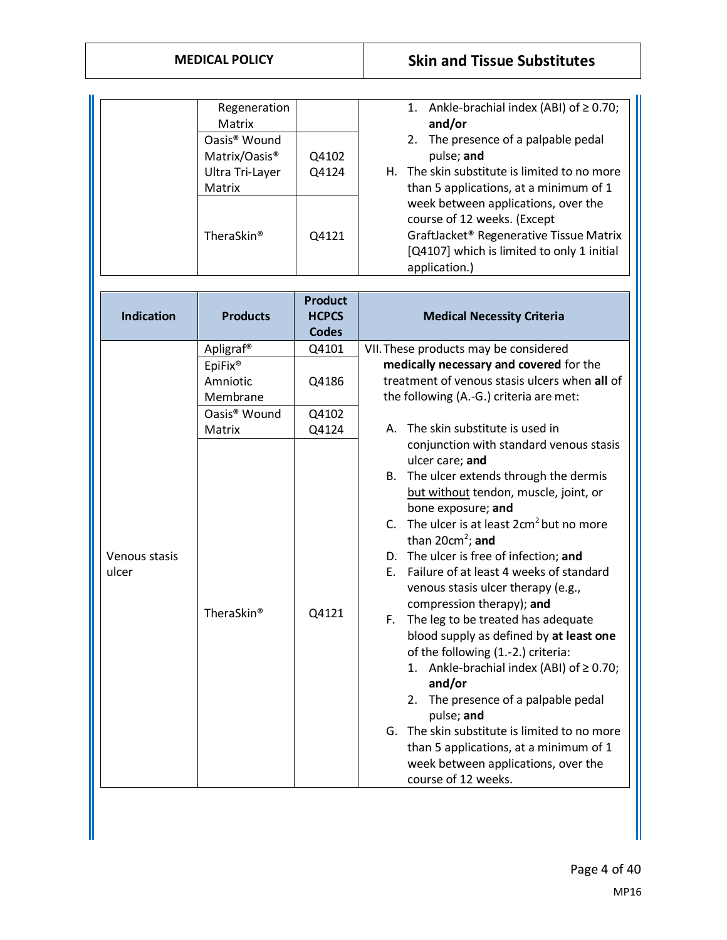### **MEDICAL POLICY Skin and Tissue Substitutes**

|                        | Regeneration<br>Matrix<br>Oasis <sup>®</sup> Wound<br>Matrix/Oasis <sup>®</sup><br>Ultra Tri-Layer<br>Matrix<br>TheraSkin <sup>®</sup> | Q4102<br>Q4124<br>Q4121                        | 1. Ankle-brachial index (ABI) of $\geq$ 0.70;<br>and/or<br>2. The presence of a palpable pedal<br>pulse; and<br>H. The skin substitute is limited to no more<br>than 5 applications, at a minimum of 1<br>week between applications, over the<br>course of 12 weeks. (Except<br>GraftJacket® Regenerative Tissue Matrix<br>[Q4107] which is limited to only 1 initial<br>application.)                                                                                                                                                                                                                                                                                                                                                                                                                                  |
|------------------------|----------------------------------------------------------------------------------------------------------------------------------------|------------------------------------------------|-------------------------------------------------------------------------------------------------------------------------------------------------------------------------------------------------------------------------------------------------------------------------------------------------------------------------------------------------------------------------------------------------------------------------------------------------------------------------------------------------------------------------------------------------------------------------------------------------------------------------------------------------------------------------------------------------------------------------------------------------------------------------------------------------------------------------|
| <b>Indication</b>      | <b>Products</b>                                                                                                                        | <b>Product</b><br><b>HCPCS</b><br><b>Codes</b> | <b>Medical Necessity Criteria</b>                                                                                                                                                                                                                                                                                                                                                                                                                                                                                                                                                                                                                                                                                                                                                                                       |
|                        | Apligraf <sup>®</sup><br>EpiFix <sup>®</sup><br>Amniotic<br>Membrane                                                                   | Q4101<br>Q4186                                 | VII. These products may be considered<br>medically necessary and covered for the<br>treatment of venous stasis ulcers when all of<br>the following (A.-G.) criteria are met:                                                                                                                                                                                                                                                                                                                                                                                                                                                                                                                                                                                                                                            |
|                        | Oasis <sup>®</sup> Wound<br>Matrix                                                                                                     | Q4102<br>Q4124                                 | A. The skin substitute is used in                                                                                                                                                                                                                                                                                                                                                                                                                                                                                                                                                                                                                                                                                                                                                                                       |
| Venous stasis<br>ulcer | TheraSkin <sup>®</sup>                                                                                                                 | Q4121                                          | conjunction with standard venous stasis<br>ulcer care; and<br>B. The ulcer extends through the dermis<br>but without tendon, muscle, joint, or<br>bone exposure; and<br>C. The ulcer is at least 2cm <sup>2</sup> but no more<br>than $20cm^2$ ; and<br>D. The ulcer is free of infection; and<br>E. Failure of at least 4 weeks of standard<br>venous stasis ulcer therapy (e.g.,<br>compression therapy); and<br>F. The leg to be treated has adequate<br>blood supply as defined by at least one<br>of the following (1.-2.) criteria:<br>Ankle-brachial index (ABI) of $\geq$ 0.70;<br>1.<br>and/or<br>The presence of a palpable pedal<br>2.<br>pulse; and<br>G. The skin substitute is limited to no more<br>than 5 applications, at a minimum of 1<br>week between applications, over the<br>course of 12 weeks. |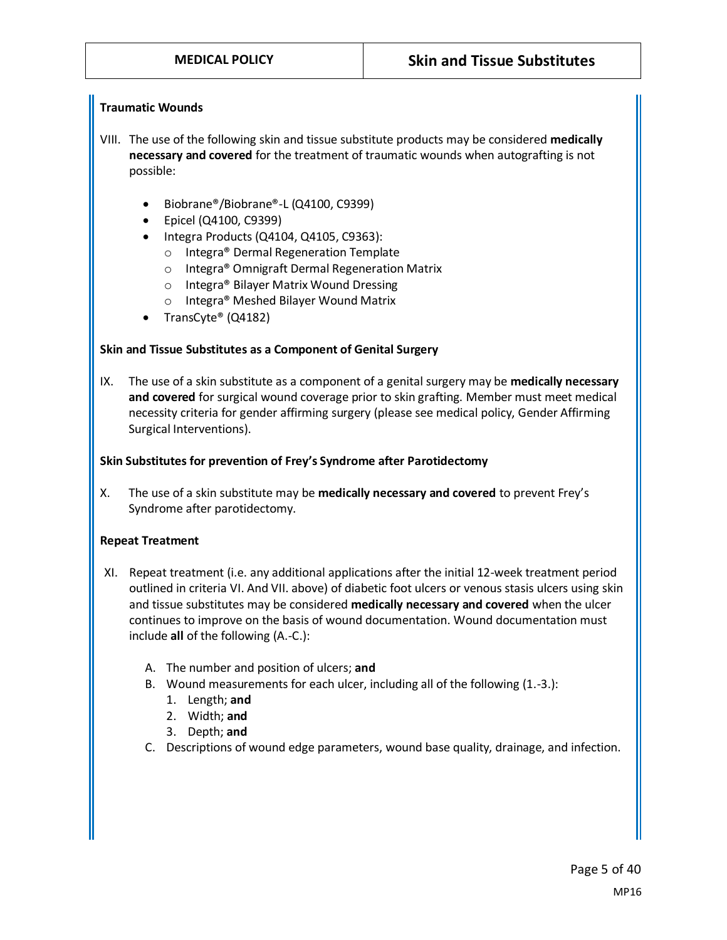#### **Traumatic Wounds**

- VIII. The use of the following skin and tissue substitute products may be considered **medically necessary and covered** for the treatment of traumatic wounds when autografting is not possible:
	- Biobrane®/Biobrane®-L (Q4100, C9399)
	- Epicel (Q4100, C9399)
	- Integra Products (Q4104, Q4105, C9363):
		- o Integra® Dermal Regeneration Template
		- o Integra® Omnigraft Dermal Regeneration Matrix
		- o Integra® Bilayer Matrix Wound Dressing
		- o Integra® Meshed Bilayer Wound Matrix
	- TransCyte® (Q4182)

#### **Skin and Tissue Substitutes as a Component of Genital Surgery**

IX. The use of a skin substitute as a component of a genital surgery may be **medically necessary and covered** for surgical wound coverage prior to skin grafting. Member must meet medical necessity criteria for gender affirming surgery (please see medical policy, Gender Affirming Surgical Interventions).

#### **Skin Substitutes for prevention of Frey's Syndrome after Parotidectomy**

X. The use of a skin substitute may be **medically necessary and covered** to prevent Frey's Syndrome after parotidectomy.

#### **Repeat Treatment**

- XI. Repeat treatment (i.e. any additional applications after the initial 12-week treatment period outlined in criteria VI. And VII. above) of diabetic foot ulcers or venous stasis ulcers using skin and tissue substitutes may be considered **medically necessary and covered** when the ulcer continues to improve on the basis of wound documentation. Wound documentation must include **all** of the following (A.-C.):
	- A. The number and position of ulcers; **and**
	- B. Wound measurements for each ulcer, including all of the following (1.-3.):
		- 1. Length; **and**
		- 2. Width; **and**
		- 3. Depth; **and**
	- C. Descriptions of wound edge parameters, wound base quality, drainage, and infection.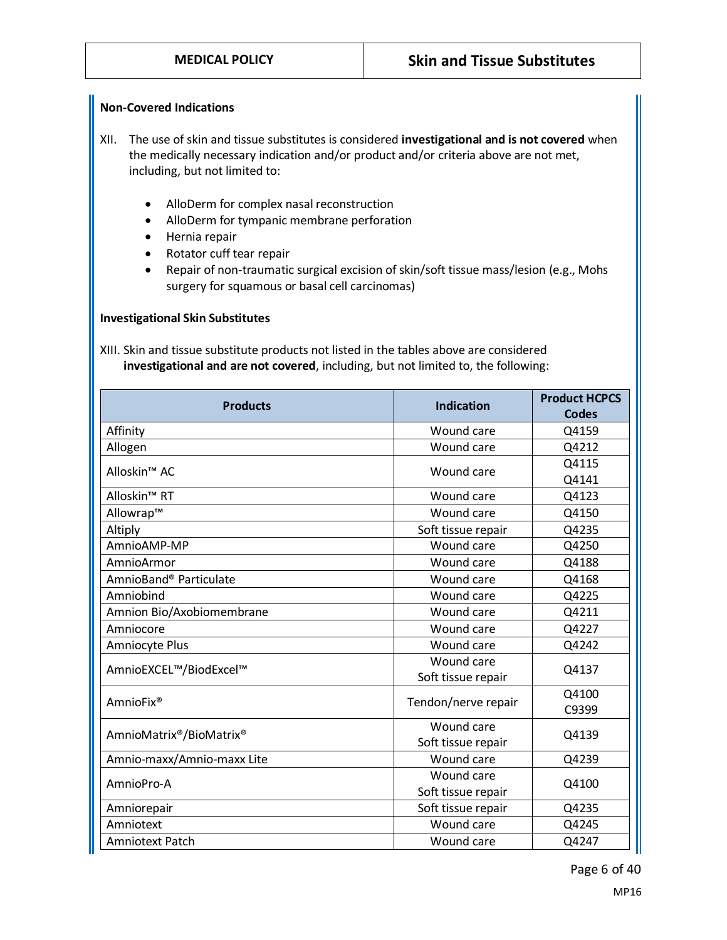#### **Non-Covered Indications**

- XII. The use of skin and tissue substitutes is considered **investigational and is not covered** when the medically necessary indication and/or product and/or criteria above are not met, including, but not limited to:
	- AlloDerm for complex nasal reconstruction
	- AlloDerm for tympanic membrane perforation
	- Hernia repair
	- Rotator cuff tear repair
	- Repair of non-traumatic surgical excision of skin/soft tissue mass/lesion (e.g., Mohs surgery for squamous or basal cell carcinomas)

#### **Investigational Skin Substitutes**

XIII. Skin and tissue substitute products not listed in the tables above are considered **investigational and are not covered**, including, but not limited to, the following:

| <b>Products</b>            | <b>Indication</b>   | <b>Product HCPCS</b> |
|----------------------------|---------------------|----------------------|
|                            |                     | <b>Codes</b>         |
| Affinity                   | Wound care          | Q4159                |
| Allogen                    | Wound care          | Q4212                |
| Alloskin <sup>™</sup> AC   | Wound care          | Q4115                |
|                            |                     | Q4141                |
| Alloskin <sup>™</sup> RT   | Wound care          | Q4123                |
| Allowrap™                  | Wound care          | Q4150                |
| Altiply                    | Soft tissue repair  | Q4235                |
| AmnioAMP-MP                | Wound care          | Q4250                |
| AmnioArmor                 | Wound care          | Q4188                |
| AmnioBand® Particulate     | Wound care          | Q4168                |
| Amniobind                  | Wound care          | Q4225                |
| Amnion Bio/Axobiomembrane  | Wound care          | Q4211                |
| Amniocore                  | Wound care          | Q4227                |
| Amniocyte Plus             | Wound care          | Q4242                |
| AmnioEXCEL™/BiodExcel™     | Wound care          | Q4137                |
|                            | Soft tissue repair  |                      |
| AmnioFix <sup>®</sup>      | Tendon/nerve repair | Q4100                |
|                            |                     | C9399                |
| AmnioMatrix®/BioMatrix®    | Wound care          | Q4139                |
|                            | Soft tissue repair  |                      |
| Amnio-maxx/Amnio-maxx Lite | Wound care          | Q4239                |
| AmnioPro-A                 | Wound care          | Q4100                |
|                            | Soft tissue repair  |                      |
| Amniorepair                | Soft tissue repair  | Q4235                |
| Amniotext                  | Wound care          | Q4245                |
| <b>Amniotext Patch</b>     | Wound care          | Q4247                |

Page 6 of 40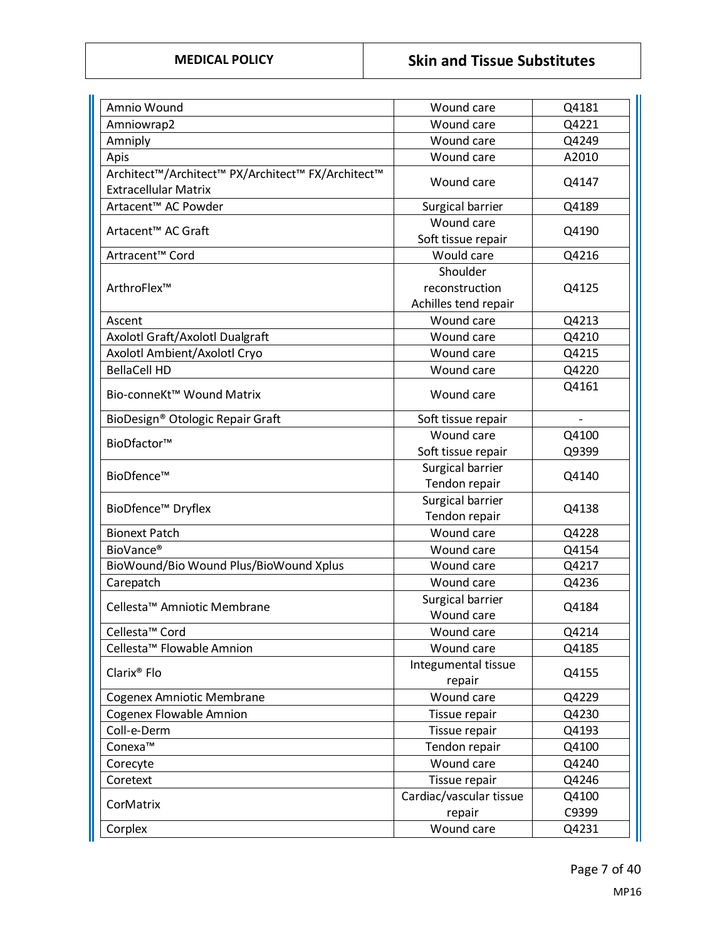| Amnio Wound                                       | Wound care                       | Q4181 |
|---------------------------------------------------|----------------------------------|-------|
| Amniowrap2                                        | Wound care                       | Q4221 |
| Amniply                                           | Wound care                       | Q4249 |
| Apis                                              | Wound care                       | A2010 |
| Architect™/Architect™ PX/Architect™ FX/Architect™ | Wound care                       | Q4147 |
| <b>Extracellular Matrix</b>                       |                                  |       |
| Artacent™ AC Powder                               | Surgical barrier                 | Q4189 |
| Artacent <sup>™</sup> AC Graft                    | Wound care<br>Soft tissue repair | Q4190 |
| Artracent <sup>™</sup> Cord                       | Would care                       | Q4216 |
|                                                   | Shoulder                         |       |
| ArthroFlex™                                       | reconstruction                   | Q4125 |
|                                                   | Achilles tend repair             |       |
| Ascent                                            | Wound care                       | Q4213 |
| Axolotl Graft/Axolotl Dualgraft                   | Wound care                       | Q4210 |
| Axolotl Ambient/Axolotl Cryo                      | Wound care                       | Q4215 |
| <b>BellaCell HD</b>                               | Wound care                       | Q4220 |
| Bio-conneKt™ Wound Matrix                         | Wound care                       | Q4161 |
| BioDesign® Otologic Repair Graft                  | Soft tissue repair               |       |
|                                                   | Wound care                       | Q4100 |
| BioDfactor™                                       | Soft tissue repair               | Q9399 |
|                                                   | Surgical barrier                 |       |
| BioDfence™                                        | Tendon repair                    | Q4140 |
|                                                   | Surgical barrier                 |       |
| BioDfence <sup>™</sup> Dryflex                    | Tendon repair                    | Q4138 |
| <b>Bionext Patch</b>                              | Wound care                       | Q4228 |
| BioVance <sup>®</sup>                             | Wound care                       | Q4154 |
| BioWound/Bio Wound Plus/BioWound Xplus            | Wound care                       | Q4217 |
| Carepatch                                         | Wound care                       | Q4236 |
| Cellesta <sup>™</sup> Amniotic Membrane           | Surgical barrier                 | Q4184 |
|                                                   | Wound care                       |       |
| Cellesta <sup>™</sup> Cord                        | Wound care                       | Q4214 |
| Cellesta <sup>™</sup> Flowable Amnion             | Wound care                       | Q4185 |
| Clarix <sup>®</sup> Flo                           | Integumental tissue<br>repair    | Q4155 |
| Cogenex Amniotic Membrane                         | Wound care                       | Q4229 |
| <b>Cogenex Flowable Amnion</b>                    | Tissue repair                    | Q4230 |
| Coll-e-Derm                                       | Tissue repair                    | Q4193 |
| Conexa™                                           | Tendon repair                    | Q4100 |
| Corecyte                                          | Wound care                       | Q4240 |
| Coretext                                          | Tissue repair                    | Q4246 |
|                                                   | Cardiac/vascular tissue          | Q4100 |
| CorMatrix                                         | repair                           | C9399 |
| Corplex                                           | Wound care                       | Q4231 |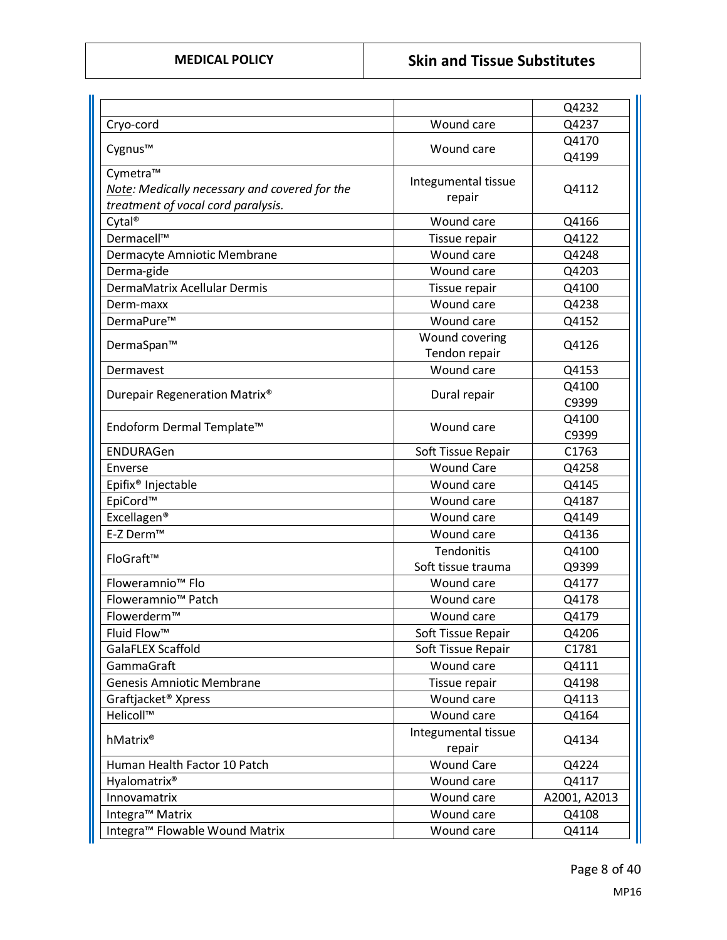|                                               |                               | Q4232        |
|-----------------------------------------------|-------------------------------|--------------|
| Cryo-cord                                     | Wound care                    | Q4237        |
|                                               |                               | Q4170        |
| Cygnus™                                       | Wound care                    | Q4199        |
| Cymetra™                                      | Integumental tissue           |              |
| Note: Medically necessary and covered for the | repair                        | Q4112        |
| treatment of vocal cord paralysis.            |                               |              |
| Cytal <sup>®</sup>                            | Wound care                    | Q4166        |
| Dermacell™                                    | Tissue repair                 | Q4122        |
| Dermacyte Amniotic Membrane                   | Wound care                    | Q4248        |
| Derma-gide                                    | Wound care                    | Q4203        |
| DermaMatrix Acellular Dermis                  | Tissue repair                 | Q4100        |
| Derm-maxx                                     | Wound care                    | Q4238        |
| DermaPure™                                    | Wound care                    | Q4152        |
| DermaSpan™                                    | Wound covering                | Q4126        |
|                                               | Tendon repair                 |              |
| Dermavest                                     | Wound care                    | Q4153        |
| Durepair Regeneration Matrix <sup>®</sup>     | Dural repair                  | Q4100        |
|                                               |                               | C9399        |
| Endoform Dermal Template™                     | Wound care                    | Q4100        |
|                                               |                               | C9399        |
| ENDURAGen                                     | Soft Tissue Repair            | C1763        |
| Enverse                                       | <b>Wound Care</b>             | Q4258        |
| Epifix <sup>®</sup> Injectable                | Wound care                    | Q4145        |
| EpiCord™                                      | Wound care                    | Q4187        |
| Excellagen <sup>®</sup>                       | Wound care                    | Q4149        |
| E-Z Derm™                                     | Wound care                    | Q4136        |
| FloGraft™                                     | Tendonitis                    | Q4100        |
|                                               | Soft tissue trauma            | Q9399        |
| Floweramnio <sup>™</sup> Flo                  | Wound care                    | Q4177        |
| Floweramnio <sup>™</sup> Patch                | Wound care                    | Q4178        |
| Flowerderm™                                   | Wound care                    | Q4179        |
| Fluid Flow™                                   | Soft Tissue Repair            | Q4206        |
| GalaFLEX Scaffold                             | Soft Tissue Repair            | C1781        |
| GammaGraft                                    | Wound care                    | Q4111        |
| <b>Genesis Amniotic Membrane</b>              | Tissue repair                 | Q4198        |
| Graftjacket <sup>®</sup> Xpress               | Wound care                    | Q4113        |
| Helicoll™                                     | Wound care                    | Q4164        |
| hMatrix®                                      | Integumental tissue<br>repair | Q4134        |
| Human Health Factor 10 Patch                  | <b>Wound Care</b>             | Q4224        |
| Hyalomatrix <sup>®</sup>                      | Wound care                    | Q4117        |
| Innovamatrix                                  | Wound care                    | A2001, A2013 |
| Integra <sup>™</sup> Matrix                   | Wound care                    | Q4108        |
| Integra™ Flowable Wound Matrix                | Wound care                    | Q4114        |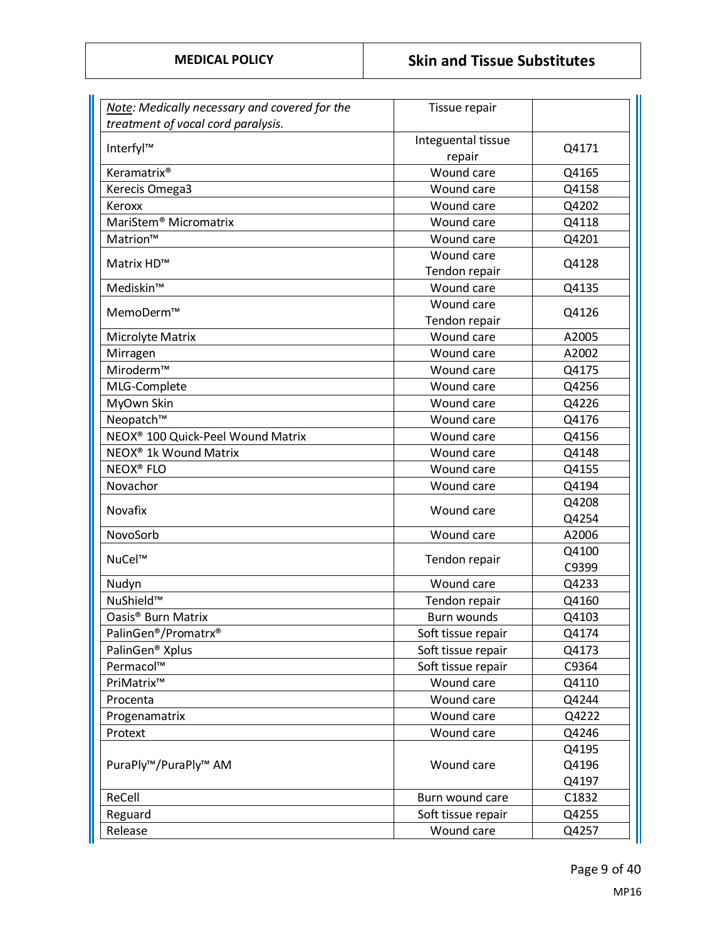| Note: Medically necessary and covered for the | Tissue repair                |       |
|-----------------------------------------------|------------------------------|-------|
| treatment of vocal cord paralysis.            |                              |       |
| Interfyl™                                     | Integuental tissue<br>repair | Q4171 |
| Keramatrix <sup>®</sup>                       | Wound care                   | Q4165 |
| Kerecis Omega3                                | Wound care                   | Q4158 |
| Keroxx                                        | Wound care                   | Q4202 |
| MariStem <sup>®</sup> Micromatrix             | Wound care                   | Q4118 |
| Matrion™                                      | Wound care                   | Q4201 |
|                                               | Wound care                   |       |
| Matrix HD™                                    | Tendon repair                | Q4128 |
| Mediskin™                                     | Wound care                   | Q4135 |
|                                               | Wound care                   |       |
| MemoDerm™                                     | Tendon repair                | Q4126 |
| Microlyte Matrix                              | Wound care                   | A2005 |
| Mirragen                                      | Wound care                   | A2002 |
| Miroderm™                                     | Wound care                   | Q4175 |
| MLG-Complete                                  | Wound care                   | Q4256 |
| MyOwn Skin                                    | Wound care                   | Q4226 |
| Neopatch™                                     | Wound care                   | Q4176 |
| NEOX <sup>®</sup> 100 Quick-Peel Wound Matrix | Wound care                   | Q4156 |
| NEOX <sup>®</sup> 1k Wound Matrix             | Wound care                   | Q4148 |
| <b>NEOX<sup>®</sup> FLO</b>                   | Wound care                   | Q4155 |
| Novachor                                      | Wound care                   | Q4194 |
| Novafix                                       | Wound care                   | Q4208 |
|                                               |                              | Q4254 |
| NovoSorb                                      | Wound care                   | A2006 |
| NuCel™                                        | Tendon repair                | Q4100 |
|                                               |                              | C9399 |
| Nudyn                                         | Wound care                   | Q4233 |
| NuShield™                                     | Tendon repair                | Q4160 |
| Oasis <sup>®</sup> Burn Matrix                | <b>Burn wounds</b>           | Q4103 |
| PalinGen®/Promatrx®                           | Soft tissue repair           | Q4174 |
| PalinGen <sup>®</sup> Xplus                   | Soft tissue repair           | Q4173 |
| Permacol™                                     | Soft tissue repair           | C9364 |
| PriMatrix™                                    | Wound care                   | Q4110 |
| Procenta                                      | Wound care                   | Q4244 |
| Progenamatrix                                 | Wound care                   | Q4222 |
| Protext                                       | Wound care                   | Q4246 |
|                                               |                              | Q4195 |
| PuraPly™/PuraPly™ AM                          | Wound care                   | Q4196 |
|                                               |                              | Q4197 |
| ReCell                                        | Burn wound care              | C1832 |
| Reguard                                       | Soft tissue repair           | Q4255 |
| Release                                       | Wound care                   | Q4257 |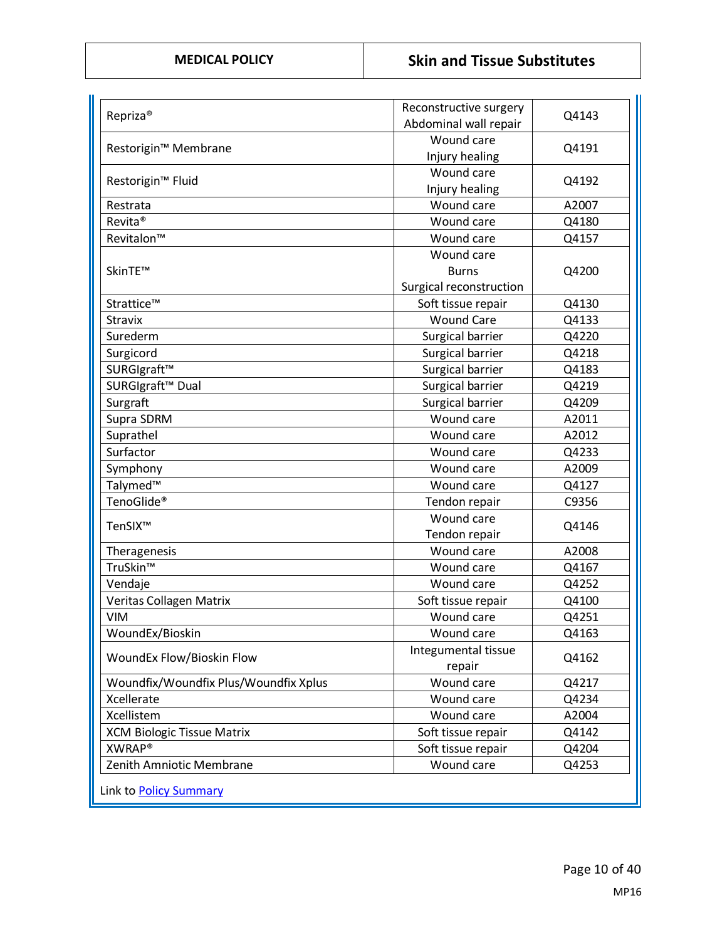| Repriza <sup>®</sup>                  | Reconstructive surgery<br>Abdominal wall repair | Q4143 |
|---------------------------------------|-------------------------------------------------|-------|
|                                       | Wound care                                      |       |
| Restorigin™ Membrane                  | Injury healing                                  | Q4191 |
|                                       | Wound care                                      |       |
| Restorigin <sup>™</sup> Fluid         | Injury healing                                  | Q4192 |
| Restrata                              | Wound care                                      | A2007 |
| Revita <sup>®</sup>                   | Wound care                                      | Q4180 |
| Revitalon™                            | Wound care                                      | Q4157 |
|                                       | Wound care                                      |       |
| SkinTE™                               | <b>Burns</b>                                    | Q4200 |
|                                       | Surgical reconstruction                         |       |
| Strattice™                            | Soft tissue repair                              | Q4130 |
| <b>Stravix</b>                        | <b>Wound Care</b>                               | Q4133 |
| Surederm                              | Surgical barrier                                | Q4220 |
| Surgicord                             | Surgical barrier                                | Q4218 |
| SURGIgraft™                           | Surgical barrier                                | Q4183 |
| SURGIgraft <sup>™</sup> Dual          | Surgical barrier                                | Q4219 |
| Surgraft                              | Surgical barrier                                | Q4209 |
| Supra SDRM                            | Wound care                                      | A2011 |
| Suprathel                             | Wound care                                      | A2012 |
| Surfactor                             | Wound care                                      | Q4233 |
| Symphony                              | Wound care                                      | A2009 |
| Talymed™                              | Wound care                                      | Q4127 |
| TenoGlide <sup>®</sup>                | Tendon repair                                   | C9356 |
|                                       | Wound care                                      |       |
| TenSIX™                               | Tendon repair                                   | Q4146 |
| Theragenesis                          | Wound care                                      | A2008 |
| TruSkin™                              | Wound care                                      | Q4167 |
| Vendaje                               | Wound care                                      | Q4252 |
| Veritas Collagen Matrix               | Soft tissue repair                              | Q4100 |
| <b>VIM</b>                            | Wound care                                      | Q4251 |
| WoundEx/Bioskin                       | Wound care                                      | Q4163 |
| WoundEx Flow/Bioskin Flow             | Integumental tissue<br>repair                   | Q4162 |
| Woundfix/Woundfix Plus/Woundfix Xplus | Wound care                                      | Q4217 |
| Xcellerate                            | Wound care                                      | Q4234 |
| Xcellistem                            | Wound care                                      | A2004 |
| <b>XCM Biologic Tissue Matrix</b>     | Soft tissue repair                              | Q4142 |
| <b>XWRAP®</b>                         | Soft tissue repair                              | Q4204 |
| Zenith Amniotic Membrane              | Wound care                                      | Q4253 |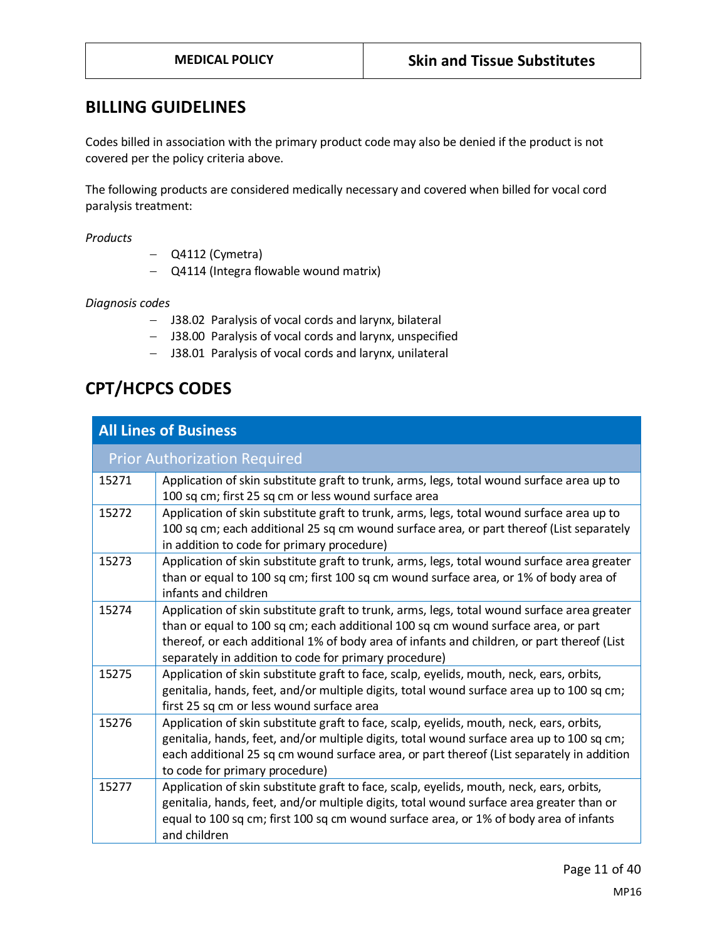### **BILLING GUIDELINES**

Codes billed in association with the primary product code may also be denied if the product is not covered per the policy criteria above.

The following products are considered medically necessary and covered when billed for vocal cord paralysis treatment:

*Products* 

- − Q4112 (Cymetra)
- − Q4114 (Integra flowable wound matrix)

*Diagnosis codes*

- − J38.02 Paralysis of vocal cords and larynx, bilateral
- − J38.00 Paralysis of vocal cords and larynx, unspecified
- − J38.01 Paralysis of vocal cords and larynx, unilateral

# **CPT/HCPCS CODES**

|       | <b>All Lines of Business</b>                                                                                                                                                                                                                                                                                                            |
|-------|-----------------------------------------------------------------------------------------------------------------------------------------------------------------------------------------------------------------------------------------------------------------------------------------------------------------------------------------|
|       | <b>Prior Authorization Required</b>                                                                                                                                                                                                                                                                                                     |
| 15271 | Application of skin substitute graft to trunk, arms, legs, total wound surface area up to<br>100 sq cm; first 25 sq cm or less wound surface area                                                                                                                                                                                       |
| 15272 | Application of skin substitute graft to trunk, arms, legs, total wound surface area up to<br>100 sq cm; each additional 25 sq cm wound surface area, or part thereof (List separately<br>in addition to code for primary procedure)                                                                                                     |
| 15273 | Application of skin substitute graft to trunk, arms, legs, total wound surface area greater<br>than or equal to 100 sq cm; first 100 sq cm wound surface area, or 1% of body area of<br>infants and children                                                                                                                            |
| 15274 | Application of skin substitute graft to trunk, arms, legs, total wound surface area greater<br>than or equal to 100 sq cm; each additional 100 sq cm wound surface area, or part<br>thereof, or each additional 1% of body area of infants and children, or part thereof (List<br>separately in addition to code for primary procedure) |
| 15275 | Application of skin substitute graft to face, scalp, eyelids, mouth, neck, ears, orbits,<br>genitalia, hands, feet, and/or multiple digits, total wound surface area up to 100 sq cm;<br>first 25 sq cm or less wound surface area                                                                                                      |
| 15276 | Application of skin substitute graft to face, scalp, eyelids, mouth, neck, ears, orbits,<br>genitalia, hands, feet, and/or multiple digits, total wound surface area up to 100 sq cm;<br>each additional 25 sq cm wound surface area, or part thereof (List separately in addition<br>to code for primary procedure)                    |
| 15277 | Application of skin substitute graft to face, scalp, eyelids, mouth, neck, ears, orbits,<br>genitalia, hands, feet, and/or multiple digits, total wound surface area greater than or<br>equal to 100 sq cm; first 100 sq cm wound surface area, or 1% of body area of infants<br>and children                                           |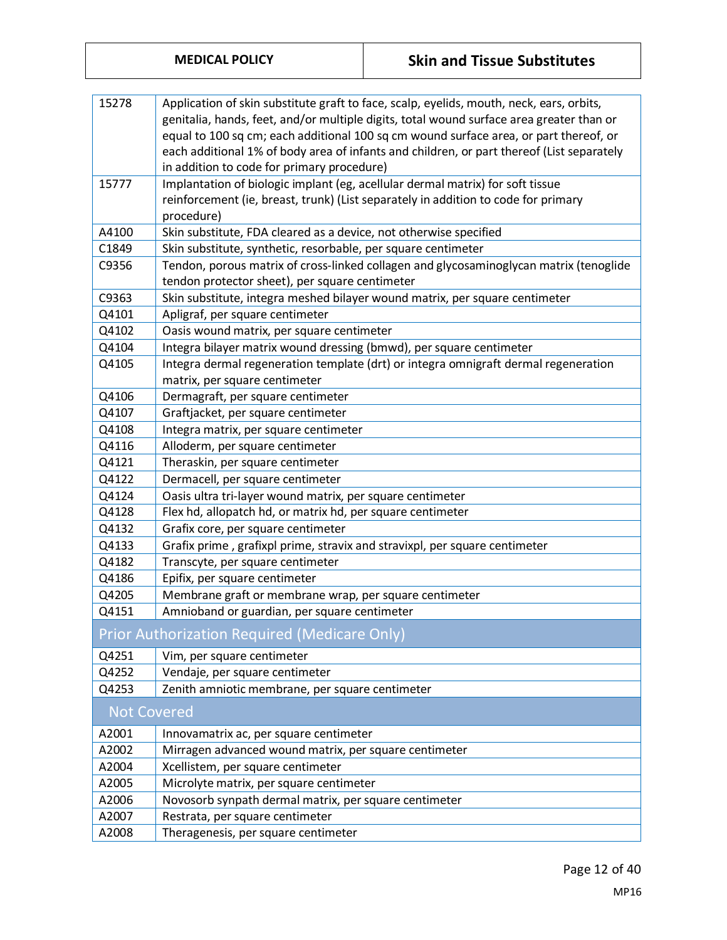| 15278              | Application of skin substitute graft to face, scalp, eyelids, mouth, neck, ears, orbits,  |  |  |
|--------------------|-------------------------------------------------------------------------------------------|--|--|
|                    | genitalia, hands, feet, and/or multiple digits, total wound surface area greater than or  |  |  |
|                    |                                                                                           |  |  |
|                    | equal to 100 sq cm; each additional 100 sq cm wound surface area, or part thereof, or     |  |  |
|                    | each additional 1% of body area of infants and children, or part thereof (List separately |  |  |
|                    | in addition to code for primary procedure)                                                |  |  |
| 15777              | Implantation of biologic implant (eg, acellular dermal matrix) for soft tissue            |  |  |
|                    | reinforcement (ie, breast, trunk) (List separately in addition to code for primary        |  |  |
|                    | procedure)                                                                                |  |  |
| A4100              | Skin substitute, FDA cleared as a device, not otherwise specified                         |  |  |
| C1849              | Skin substitute, synthetic, resorbable, per square centimeter                             |  |  |
| C9356              | Tendon, porous matrix of cross-linked collagen and glycosaminoglycan matrix (tenoglide    |  |  |
|                    | tendon protector sheet), per square centimeter                                            |  |  |
| C9363              | Skin substitute, integra meshed bilayer wound matrix, per square centimeter               |  |  |
| Q4101              | Apligraf, per square centimeter                                                           |  |  |
| Q4102              | Oasis wound matrix, per square centimeter                                                 |  |  |
| Q4104              | Integra bilayer matrix wound dressing (bmwd), per square centimeter                       |  |  |
| Q4105              | Integra dermal regeneration template (drt) or integra omnigraft dermal regeneration       |  |  |
|                    | matrix, per square centimeter                                                             |  |  |
| Q4106              | Dermagraft, per square centimeter                                                         |  |  |
| Q4107              | Graftjacket, per square centimeter                                                        |  |  |
| Q4108              | Integra matrix, per square centimeter                                                     |  |  |
| Q4116              | Alloderm, per square centimeter                                                           |  |  |
| Q4121              | Theraskin, per square centimeter                                                          |  |  |
| Q4122              | Dermacell, per square centimeter                                                          |  |  |
| Q4124              | Oasis ultra tri-layer wound matrix, per square centimeter                                 |  |  |
| Q4128              | Flex hd, allopatch hd, or matrix hd, per square centimeter                                |  |  |
| Q4132              | Grafix core, per square centimeter                                                        |  |  |
| Q4133              | Grafix prime, grafixpl prime, stravix and stravixpl, per square centimeter                |  |  |
| Q4182              | Transcyte, per square centimeter                                                          |  |  |
| Q4186              | Epifix, per square centimeter                                                             |  |  |
| Q4205              | Membrane graft or membrane wrap, per square centimeter                                    |  |  |
| Q4151              | Amnioband or guardian, per square centimeter                                              |  |  |
|                    | Prior Authorization Required (Medicare Only)                                              |  |  |
|                    |                                                                                           |  |  |
| Q4251              | Vim, per square centimeter                                                                |  |  |
| Q4252              | Vendaje, per square centimeter                                                            |  |  |
| Q4253              | Zenith amniotic membrane, per square centimeter                                           |  |  |
| <b>Not Covered</b> |                                                                                           |  |  |
| A2001              | Innovamatrix ac, per square centimeter                                                    |  |  |
| A2002              | Mirragen advanced wound matrix, per square centimeter                                     |  |  |
| A2004              | Xcellistem, per square centimeter                                                         |  |  |
| A2005              | Microlyte matrix, per square centimeter                                                   |  |  |
| A2006              | Novosorb synpath dermal matrix, per square centimeter                                     |  |  |
| A2007              | Restrata, per square centimeter                                                           |  |  |
| A2008              | Theragenesis, per square centimeter                                                       |  |  |

Page 12 of 40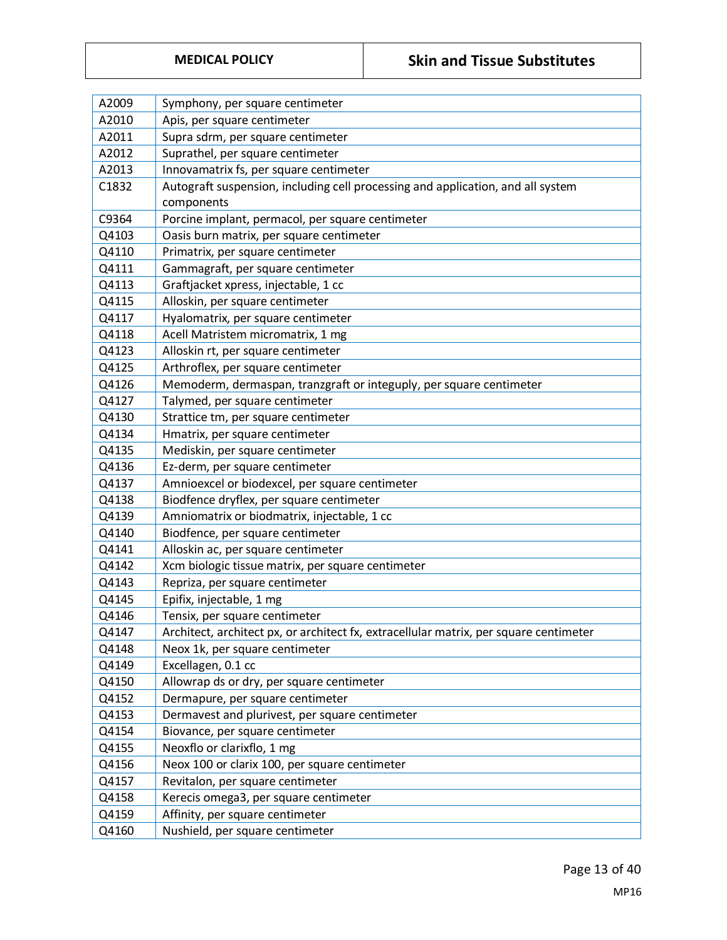| A2009 | Symphony, per square centimeter                                                       |  |  |  |
|-------|---------------------------------------------------------------------------------------|--|--|--|
| A2010 | Apis, per square centimeter                                                           |  |  |  |
| A2011 | Supra sdrm, per square centimeter                                                     |  |  |  |
| A2012 | Suprathel, per square centimeter                                                      |  |  |  |
| A2013 | Innovamatrix fs, per square centimeter                                                |  |  |  |
| C1832 | Autograft suspension, including cell processing and application, and all system       |  |  |  |
|       | components                                                                            |  |  |  |
| C9364 | Porcine implant, permacol, per square centimeter                                      |  |  |  |
| Q4103 | Oasis burn matrix, per square centimeter                                              |  |  |  |
| Q4110 | Primatrix, per square centimeter                                                      |  |  |  |
| Q4111 | Gammagraft, per square centimeter                                                     |  |  |  |
| Q4113 | Graftjacket xpress, injectable, 1 cc                                                  |  |  |  |
| Q4115 | Alloskin, per square centimeter                                                       |  |  |  |
| Q4117 | Hyalomatrix, per square centimeter                                                    |  |  |  |
| Q4118 | Acell Matristem micromatrix, 1 mg                                                     |  |  |  |
| Q4123 | Alloskin rt, per square centimeter                                                    |  |  |  |
| Q4125 | Arthroflex, per square centimeter                                                     |  |  |  |
| Q4126 | Memoderm, dermaspan, tranzgraft or integuply, per square centimeter                   |  |  |  |
| Q4127 | Talymed, per square centimeter                                                        |  |  |  |
| Q4130 | Strattice tm, per square centimeter                                                   |  |  |  |
| Q4134 | Hmatrix, per square centimeter                                                        |  |  |  |
| Q4135 | Mediskin, per square centimeter                                                       |  |  |  |
| Q4136 | Ez-derm, per square centimeter                                                        |  |  |  |
| Q4137 | Amnioexcel or biodexcel, per square centimeter                                        |  |  |  |
| Q4138 | Biodfence dryflex, per square centimeter                                              |  |  |  |
| Q4139 | Amniomatrix or biodmatrix, injectable, 1 cc                                           |  |  |  |
| Q4140 | Biodfence, per square centimeter                                                      |  |  |  |
| Q4141 | Alloskin ac, per square centimeter                                                    |  |  |  |
| Q4142 | Xcm biologic tissue matrix, per square centimeter                                     |  |  |  |
| Q4143 | Repriza, per square centimeter                                                        |  |  |  |
| Q4145 | Epifix, injectable, 1 mg                                                              |  |  |  |
| Q4146 | Tensix, per square centimeter                                                         |  |  |  |
| Q4147 | Architect, architect px, or architect fx, extracellular matrix, per square centimeter |  |  |  |
| Q4148 | Neox 1k, per square centimeter                                                        |  |  |  |
| Q4149 | Excellagen, 0.1 cc                                                                    |  |  |  |
| Q4150 | Allowrap ds or dry, per square centimeter                                             |  |  |  |
| Q4152 | Dermapure, per square centimeter                                                      |  |  |  |
| Q4153 | Dermavest and plurivest, per square centimeter                                        |  |  |  |
| Q4154 | Biovance, per square centimeter                                                       |  |  |  |
| Q4155 | Neoxflo or clarixflo, 1 mg                                                            |  |  |  |
| Q4156 | Neox 100 or clarix 100, per square centimeter                                         |  |  |  |
| Q4157 | Revitalon, per square centimeter                                                      |  |  |  |
| Q4158 | Kerecis omega3, per square centimeter                                                 |  |  |  |
| Q4159 | Affinity, per square centimeter                                                       |  |  |  |
| Q4160 | Nushield, per square centimeter                                                       |  |  |  |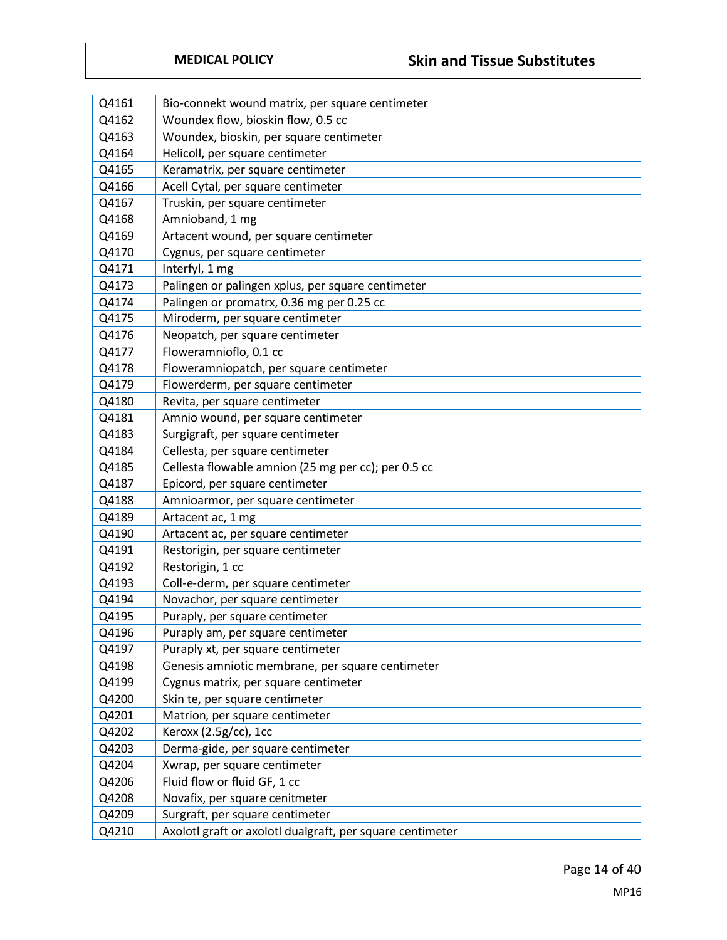| Q4161 | Bio-connekt wound matrix, per square centimeter           |  |  |
|-------|-----------------------------------------------------------|--|--|
| Q4162 | Woundex flow, bioskin flow, 0.5 cc                        |  |  |
| Q4163 | Woundex, bioskin, per square centimeter                   |  |  |
| Q4164 | Helicoll, per square centimeter                           |  |  |
| Q4165 | Keramatrix, per square centimeter                         |  |  |
| Q4166 | Acell Cytal, per square centimeter                        |  |  |
| Q4167 | Truskin, per square centimeter                            |  |  |
| Q4168 | Amnioband, 1 mg                                           |  |  |
| Q4169 | Artacent wound, per square centimeter                     |  |  |
| Q4170 | Cygnus, per square centimeter                             |  |  |
| Q4171 | Interfyl, 1 mg                                            |  |  |
| Q4173 | Palingen or palingen xplus, per square centimeter         |  |  |
| Q4174 | Palingen or promatrx, 0.36 mg per 0.25 cc                 |  |  |
| Q4175 | Miroderm, per square centimeter                           |  |  |
| Q4176 | Neopatch, per square centimeter                           |  |  |
| Q4177 | Floweramnioflo, 0.1 cc                                    |  |  |
| Q4178 | Floweramniopatch, per square centimeter                   |  |  |
| Q4179 | Flowerderm, per square centimeter                         |  |  |
| Q4180 | Revita, per square centimeter                             |  |  |
| Q4181 | Amnio wound, per square centimeter                        |  |  |
| Q4183 | Surgigraft, per square centimeter                         |  |  |
| Q4184 | Cellesta, per square centimeter                           |  |  |
| Q4185 | Cellesta flowable amnion (25 mg per cc); per 0.5 cc       |  |  |
| Q4187 | Epicord, per square centimeter                            |  |  |
| Q4188 | Amnioarmor, per square centimeter                         |  |  |
| Q4189 | Artacent ac, 1 mg                                         |  |  |
| Q4190 | Artacent ac, per square centimeter                        |  |  |
| Q4191 | Restorigin, per square centimeter                         |  |  |
| Q4192 | Restorigin, 1 cc                                          |  |  |
| Q4193 | Coll-e-derm, per square centimeter                        |  |  |
| Q4194 | Novachor, per square centimeter                           |  |  |
| Q4195 | Puraply, per square centimeter                            |  |  |
| Q4196 | Puraply am, per square centimeter                         |  |  |
| Q4197 | Puraply xt, per square centimeter                         |  |  |
| Q4198 | Genesis amniotic membrane, per square centimeter          |  |  |
| Q4199 | Cygnus matrix, per square centimeter                      |  |  |
| Q4200 | Skin te, per square centimeter                            |  |  |
| Q4201 | Matrion, per square centimeter                            |  |  |
| Q4202 | Keroxx (2.5g/cc), 1cc                                     |  |  |
| Q4203 | Derma-gide, per square centimeter                         |  |  |
| Q4204 | Xwrap, per square centimeter                              |  |  |
| Q4206 | Fluid flow or fluid GF, 1 cc                              |  |  |
| Q4208 | Novafix, per square cenitmeter                            |  |  |
| Q4209 | Surgraft, per square centimeter                           |  |  |
| Q4210 | Axolotl graft or axolotl dualgraft, per square centimeter |  |  |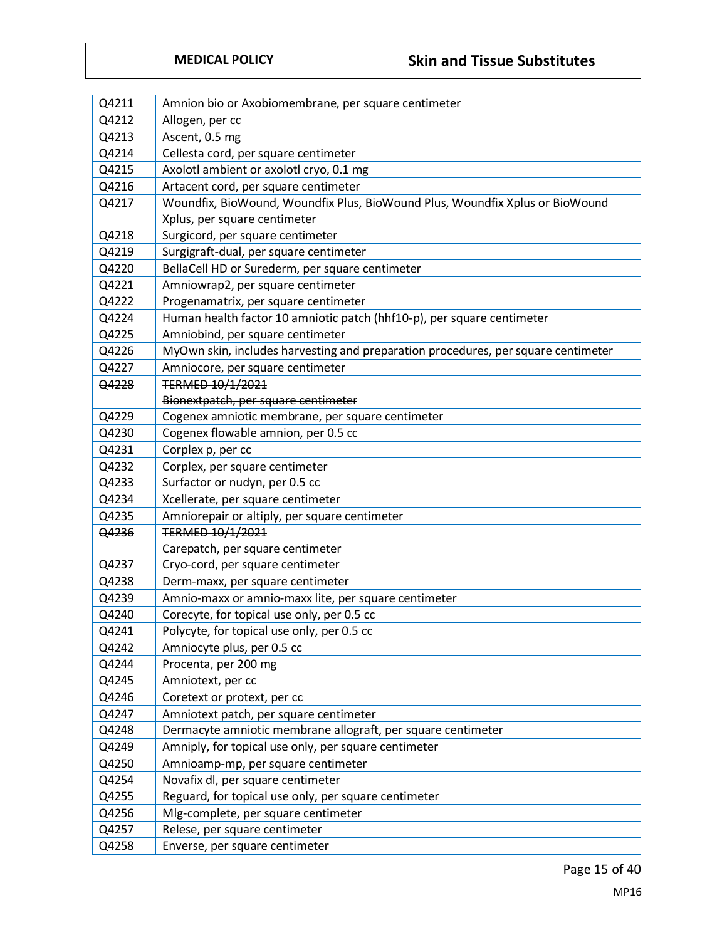| Q4211 | Amnion bio or Axobiomembrane, per square centimeter                               |  |  |  |
|-------|-----------------------------------------------------------------------------------|--|--|--|
| Q4212 | Allogen, per cc                                                                   |  |  |  |
| Q4213 | Ascent, 0.5 mg                                                                    |  |  |  |
| Q4214 | Cellesta cord, per square centimeter                                              |  |  |  |
| Q4215 | Axolotl ambient or axolotl cryo, 0.1 mg                                           |  |  |  |
| Q4216 | Artacent cord, per square centimeter                                              |  |  |  |
| Q4217 | Woundfix, BioWound, Woundfix Plus, BioWound Plus, Woundfix Xplus or BioWound      |  |  |  |
|       | Xplus, per square centimeter                                                      |  |  |  |
| Q4218 | Surgicord, per square centimeter                                                  |  |  |  |
| Q4219 | Surgigraft-dual, per square centimeter                                            |  |  |  |
| Q4220 | BellaCell HD or Surederm, per square centimeter                                   |  |  |  |
| Q4221 | Amniowrap2, per square centimeter                                                 |  |  |  |
| Q4222 | Progenamatrix, per square centimeter                                              |  |  |  |
| Q4224 | Human health factor 10 amniotic patch (hhf10-p), per square centimeter            |  |  |  |
| Q4225 | Amniobind, per square centimeter                                                  |  |  |  |
| Q4226 | MyOwn skin, includes harvesting and preparation procedures, per square centimeter |  |  |  |
| Q4227 | Amniocore, per square centimeter                                                  |  |  |  |
| Q4228 | TERMED 10/1/2021                                                                  |  |  |  |
|       | Bionextpatch, per square centimeter                                               |  |  |  |
| Q4229 | Cogenex amniotic membrane, per square centimeter                                  |  |  |  |
| Q4230 | Cogenex flowable amnion, per 0.5 cc                                               |  |  |  |
| Q4231 | Corplex p, per cc                                                                 |  |  |  |
| Q4232 | Corplex, per square centimeter                                                    |  |  |  |
| Q4233 | Surfactor or nudyn, per 0.5 cc                                                    |  |  |  |
| Q4234 | Xcellerate, per square centimeter                                                 |  |  |  |
| Q4235 | Amniorepair or altiply, per square centimeter                                     |  |  |  |
| Q4236 | TERMED 10/1/2021                                                                  |  |  |  |
|       | Carepatch, per square centimeter                                                  |  |  |  |
| Q4237 | Cryo-cord, per square centimeter                                                  |  |  |  |
| Q4238 | Derm-maxx, per square centimeter                                                  |  |  |  |
| Q4239 | Amnio-maxx or amnio-maxx lite, per square centimeter                              |  |  |  |
| Q4240 | Corecyte, for topical use only, per 0.5 cc                                        |  |  |  |
| Q4241 | Polycyte, for topical use only, per 0.5 cc                                        |  |  |  |
| Q4242 | Amniocyte plus, per 0.5 cc                                                        |  |  |  |
| Q4244 | Procenta, per 200 mg                                                              |  |  |  |
| Q4245 | Amniotext, per cc                                                                 |  |  |  |
| Q4246 | Coretext or protext, per cc                                                       |  |  |  |
| Q4247 | Amniotext patch, per square centimeter                                            |  |  |  |
| Q4248 | Dermacyte amniotic membrane allograft, per square centimeter                      |  |  |  |
| Q4249 | Amniply, for topical use only, per square centimeter                              |  |  |  |
| Q4250 | Amnioamp-mp, per square centimeter                                                |  |  |  |
| Q4254 | Novafix dl, per square centimeter                                                 |  |  |  |
| Q4255 | Reguard, for topical use only, per square centimeter                              |  |  |  |
| Q4256 | Mlg-complete, per square centimeter                                               |  |  |  |
| Q4257 | Relese, per square centimeter                                                     |  |  |  |
| Q4258 | Enverse, per square centimeter                                                    |  |  |  |

Page 15 of 40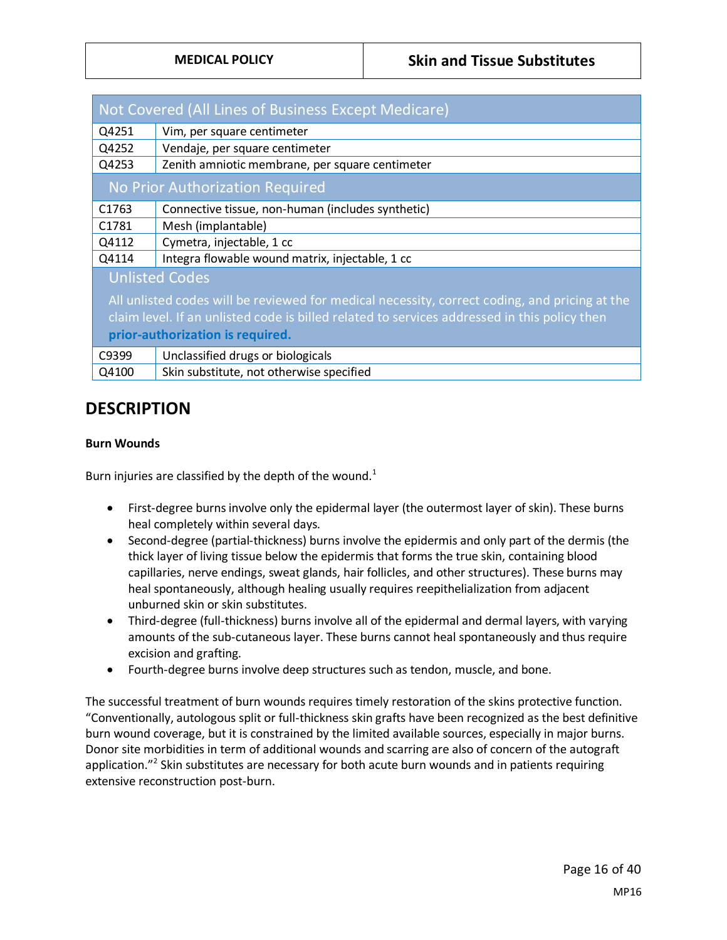|                   | Not Covered (All Lines of Business Except Medicare)                                           |  |  |
|-------------------|-----------------------------------------------------------------------------------------------|--|--|
| Q4251             | Vim, per square centimeter                                                                    |  |  |
| Q4252             | Vendaje, per square centimeter                                                                |  |  |
| Q4253             | Zenith amniotic membrane, per square centimeter                                               |  |  |
|                   | No Prior Authorization Required                                                               |  |  |
| C <sub>1763</sub> | Connective tissue, non-human (includes synthetic)                                             |  |  |
| C1781             | Mesh (implantable)                                                                            |  |  |
| Q4112             | Cymetra, injectable, 1 cc                                                                     |  |  |
| Q4114             | Integra flowable wound matrix, injectable, 1 cc                                               |  |  |
|                   | <b>Unlisted Codes</b>                                                                         |  |  |
|                   | All unlisted codes will be reviewed for medical necessity, correct coding, and pricing at the |  |  |
|                   | claim level. If an unlisted code is billed related to services addressed in this policy then  |  |  |
|                   | prior-authorization is required.                                                              |  |  |
| C9399             | Unclassified drugs or biologicals                                                             |  |  |
| Q4100             | Skin substitute, not otherwise specified                                                      |  |  |

### **DESCRIPTION**

#### <span id="page-15-0"></span>**Burn Wounds**

Burn injuries are classified by the depth of the wound. $1$ 

- First-degree burns involve only the epidermal layer (the outermost layer of skin). These burns heal completely within several days.
- Second-degree (partial-thickness) burns involve the epidermis and only part of the dermis (the thick layer of living tissue below the epidermis that forms the true skin, containing blood capillaries, nerve endings, sweat glands, hair follicles, and other structures). These burns may heal spontaneously, although healing usually requires reepithelialization from adjacent unburned skin or skin substitutes.
- Third-degree (full-thickness) burns involve all of the epidermal and dermal layers, with varying amounts of the sub-cutaneous layer. These burns cannot heal spontaneously and thus require excision and grafting.
- Fourth-degree burns involve deep structures such as tendon, muscle, and bone.

The successful treatment of burn wounds requires timely restoration of the skins protective function. "Conventionally, autologous split or full-thickness skin grafts have been recognized as the best definitive burn wound coverage, but it is constrained by the limited available sources, especially in major burns. Donor site morbidities in term of additional wounds and scarring are also of concern of the autograft application."<sup>2</sup> Skin substitutes are necessary for both acute burn wounds and in patients requiring extensive reconstruction post-burn.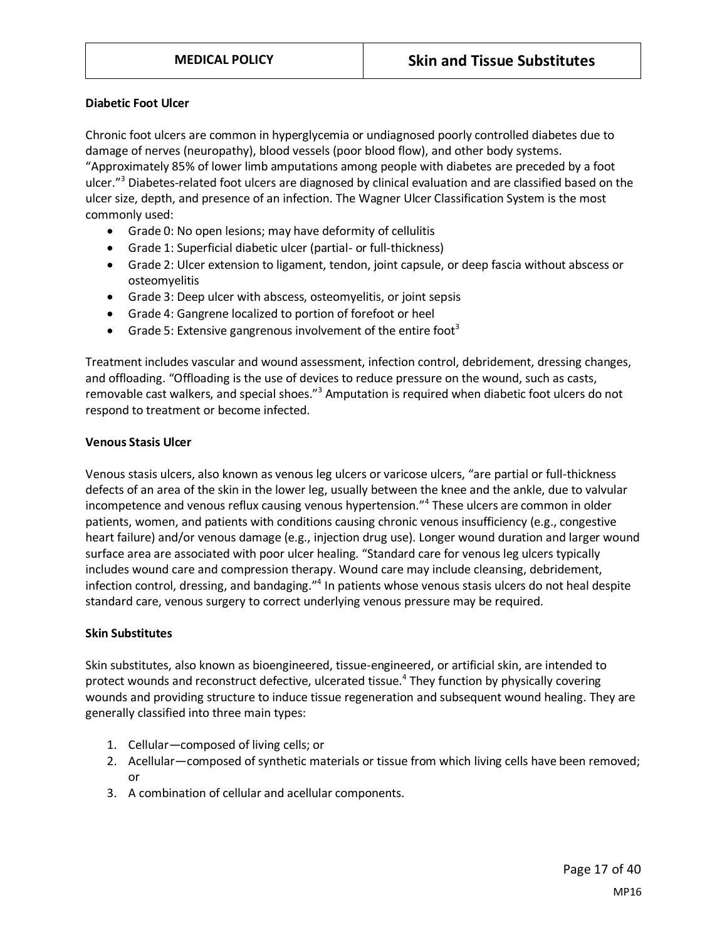#### **Diabetic Foot Ulcer**

Chronic foot ulcers are common in hyperglycemia or undiagnosed poorly controlled diabetes due to damage of nerves (neuropathy), blood vessels (poor blood flow), and other body systems. "Approximately 85% of lower limb amputations among people with diabetes are preceded by a foot ulcer."<sup>3</sup> Diabetes-related foot ulcers are diagnosed by clinical evaluation and are classified based on the ulcer size, depth, and presence of an infection. The Wagner Ulcer Classification System is the most commonly used:

- Grade 0: No open lesions; may have deformity of cellulitis
- Grade 1: Superficial diabetic ulcer (partial- or full-thickness)
- Grade 2: Ulcer extension to ligament, tendon, joint capsule, or deep fascia without abscess or osteomyelitis
- Grade 3: Deep ulcer with abscess, osteomyelitis, or joint sepsis
- Grade 4: Gangrene localized to portion of forefoot or heel
- Grade 5: Extensive gangrenous involvement of the entire foot<sup>3</sup>

Treatment includes vascular and wound assessment, infection control, debridement, dressing changes, and offloading. "Offloading is the use of devices to reduce pressure on the wound, such as casts, removable cast walkers, and special shoes."<sup>3</sup> Amputation is required when diabetic foot ulcers do not respond to treatment or become infected.

#### **Venous Stasis Ulcer**

Venous stasis ulcers, also known as venous leg ulcers or varicose ulcers, "are partial or full-thickness defects of an area of the skin in the lower leg, usually between the knee and the ankle, due to valvular incompetence and venous reflux causing venous hypertension."<sup>4</sup> These ulcers are common in older patients, women, and patients with conditions causing chronic venous insufficiency (e.g., congestive heart failure) and/or venous damage (e.g., injection drug use). Longer wound duration and larger wound surface area are associated with poor ulcer healing. "Standard care for venous leg ulcers typically includes wound care and compression therapy. Wound care may include cleansing, debridement, infection control, dressing, and bandaging."<sup>4</sup> In patients whose venous stasis ulcers do not heal despite standard care, venous surgery to correct underlying venous pressure may be required.

#### **Skin Substitutes**

Skin substitutes, also known as bioengineered, tissue-engineered, or artificial skin, are intended to protect wounds and reconstruct defective, ulcerated tissue. 4 They function by physically covering wounds and providing structure to induce tissue regeneration and subsequent wound healing. They are generally classified into three main types:

- 1. Cellular—composed of living cells; or
- 2. Acellular—composed of synthetic materials or tissue from which living cells have been removed; or
- 3. A combination of cellular and acellular components.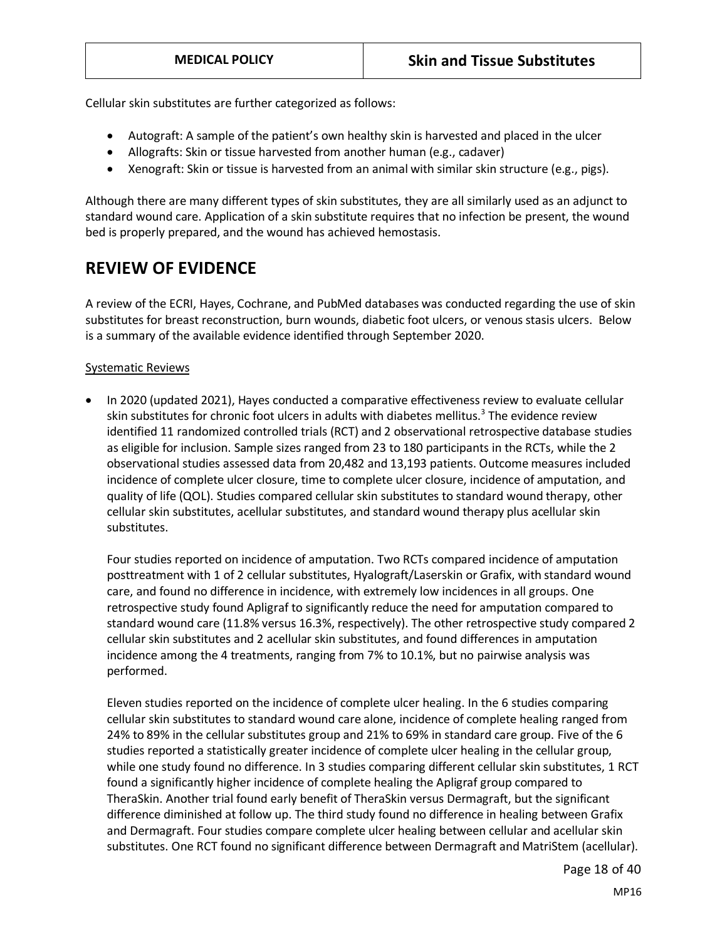Cellular skin substitutes are further categorized as follows:

- Autograft: A sample of the patient's own healthy skin is harvested and placed in the ulcer
- Allografts: Skin or tissue harvested from another human (e.g., cadaver)
- Xenograft: Skin or tissue is harvested from an animal with similar skin structure (e.g., pigs).

Although there are many different types of skin substitutes, they are all similarly used as an adjunct to standard wound care. Application of a skin substitute requires that no infection be present, the wound bed is properly prepared, and the wound has achieved hemostasis.

### **REVIEW OF EVIDENCE**

A review of the ECRI, Hayes, Cochrane, and PubMed databases was conducted regarding the use of skin substitutes for breast reconstruction, burn wounds, diabetic foot ulcers, or venous stasis ulcers. Below is a summary of the available evidence identified through September 2020.

#### Systematic Reviews

• In 2020 (updated 2021), Hayes conducted a comparative effectiveness review to evaluate cellular skin substitutes for chronic foot ulcers in adults with diabetes mellitus.<sup>3</sup> The evidence review identified 11 randomized controlled trials (RCT) and 2 observational retrospective database studies as eligible for inclusion. Sample sizes ranged from 23 to 180 participants in the RCTs, while the 2 observational studies assessed data from 20,482 and 13,193 patients. Outcome measures included incidence of complete ulcer closure, time to complete ulcer closure, incidence of amputation, and quality of life (QOL). Studies compared cellular skin substitutes to standard wound therapy, other cellular skin substitutes, acellular substitutes, and standard wound therapy plus acellular skin substitutes.

Four studies reported on incidence of amputation. Two RCTs compared incidence of amputation posttreatment with 1 of 2 cellular substitutes, Hyalograft/Laserskin or Grafix, with standard wound care, and found no difference in incidence, with extremely low incidences in all groups. One retrospective study found Apligraf to significantly reduce the need for amputation compared to standard wound care (11.8% versus 16.3%, respectively). The other retrospective study compared 2 cellular skin substitutes and 2 acellular skin substitutes, and found differences in amputation incidence among the 4 treatments, ranging from 7% to 10.1%, but no pairwise analysis was performed.

Eleven studies reported on the incidence of complete ulcer healing. In the 6 studies comparing cellular skin substitutes to standard wound care alone, incidence of complete healing ranged from 24% to 89% in the cellular substitutes group and 21% to 69% in standard care group. Five of the 6 studies reported a statistically greater incidence of complete ulcer healing in the cellular group, while one study found no difference. In 3 studies comparing different cellular skin substitutes, 1 RCT found a significantly higher incidence of complete healing the Apligraf group compared to TheraSkin. Another trial found early benefit of TheraSkin versus Dermagraft, but the significant difference diminished at follow up. The third study found no difference in healing between Grafix and Dermagraft. Four studies compare complete ulcer healing between cellular and acellular skin substitutes. One RCT found no significant difference between Dermagraft and MatriStem (acellular).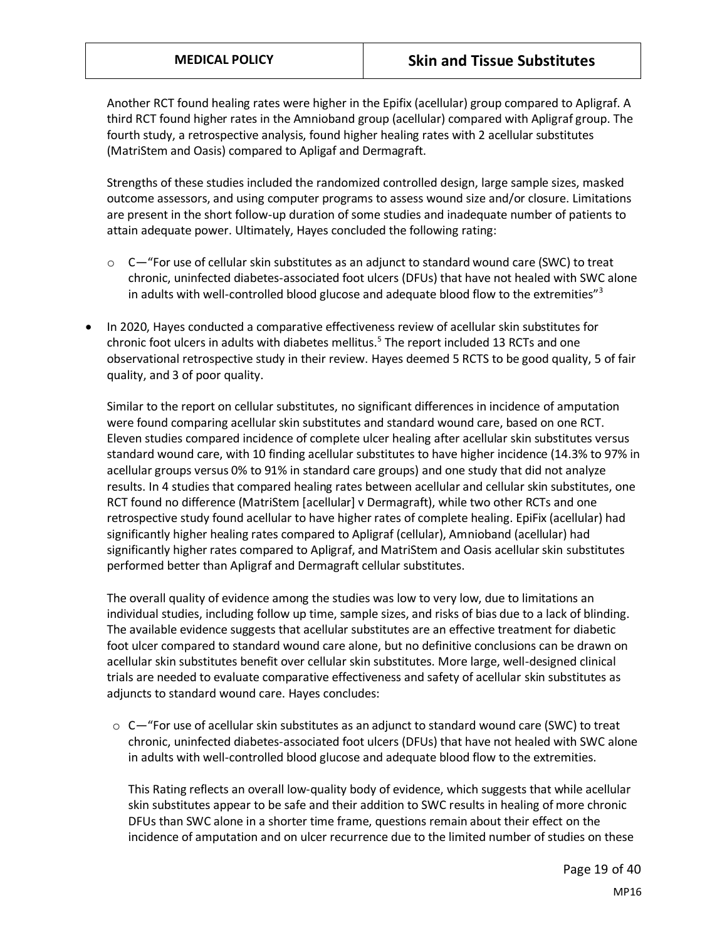Another RCT found healing rates were higher in the Epifix (acellular) group compared to Apligraf. A third RCT found higher rates in the Amnioband group (acellular) compared with Apligraf group. The fourth study, a retrospective analysis, found higher healing rates with 2 acellular substitutes (MatriStem and Oasis) compared to Apligaf and Dermagraft.

Strengths of these studies included the randomized controlled design, large sample sizes, masked outcome assessors, and using computer programs to assess wound size and/or closure. Limitations are present in the short follow-up duration of some studies and inadequate number of patients to attain adequate power. Ultimately, Hayes concluded the following rating:

- $\circ$  C—"For use of cellular skin substitutes as an adjunct to standard wound care (SWC) to treat chronic, uninfected diabetes-associated foot ulcers (DFUs) that have not healed with SWC alone in adults with well-controlled blood glucose and adequate blood flow to the extremities" $3$
- In 2020, Hayes conducted a comparative effectiveness review of acellular skin substitutes for chronic foot ulcers in adults with diabetes mellitus.<sup>5</sup> The report included 13 RCTs and one observational retrospective study in their review. Hayes deemed 5 RCTS to be good quality, 5 of fair quality, and 3 of poor quality.

Similar to the report on cellular substitutes, no significant differences in incidence of amputation were found comparing acellular skin substitutes and standard wound care, based on one RCT. Eleven studies compared incidence of complete ulcer healing after acellular skin substitutes versus standard wound care, with 10 finding acellular substitutes to have higher incidence (14.3% to 97% in acellular groups versus 0% to 91% in standard care groups) and one study that did not analyze results. In 4 studies that compared healing rates between acellular and cellular skin substitutes, one RCT found no difference (MatriStem [acellular] v Dermagraft), while two other RCTs and one retrospective study found acellular to have higher rates of complete healing. EpiFix (acellular) had significantly higher healing rates compared to Apligraf (cellular), Amnioband (acellular) had significantly higher rates compared to Apligraf, and MatriStem and Oasis acellular skin substitutes performed better than Apligraf and Dermagraft cellular substitutes.

The overall quality of evidence among the studies was low to very low, due to limitations an individual studies, including follow up time, sample sizes, and risks of bias due to a lack of blinding. The available evidence suggests that acellular substitutes are an effective treatment for diabetic foot ulcer compared to standard wound care alone, but no definitive conclusions can be drawn on acellular skin substitutes benefit over cellular skin substitutes. More large, well-designed clinical trials are needed to evaluate comparative effectiveness and safety of acellular skin substitutes as adjuncts to standard wound care. Hayes concludes:

 $\circ$  C—"For use of acellular skin substitutes as an adjunct to standard wound care (SWC) to treat chronic, uninfected diabetes-associated foot ulcers (DFUs) that have not healed with SWC alone in adults with well-controlled blood glucose and adequate blood flow to the extremities.

This Rating reflects an overall low-quality body of evidence, which suggests that while acellular skin substitutes appear to be safe and their addition to SWC results in healing of more chronic DFUs than SWC alone in a shorter time frame, questions remain about their effect on the incidence of amputation and on ulcer recurrence due to the limited number of studies on these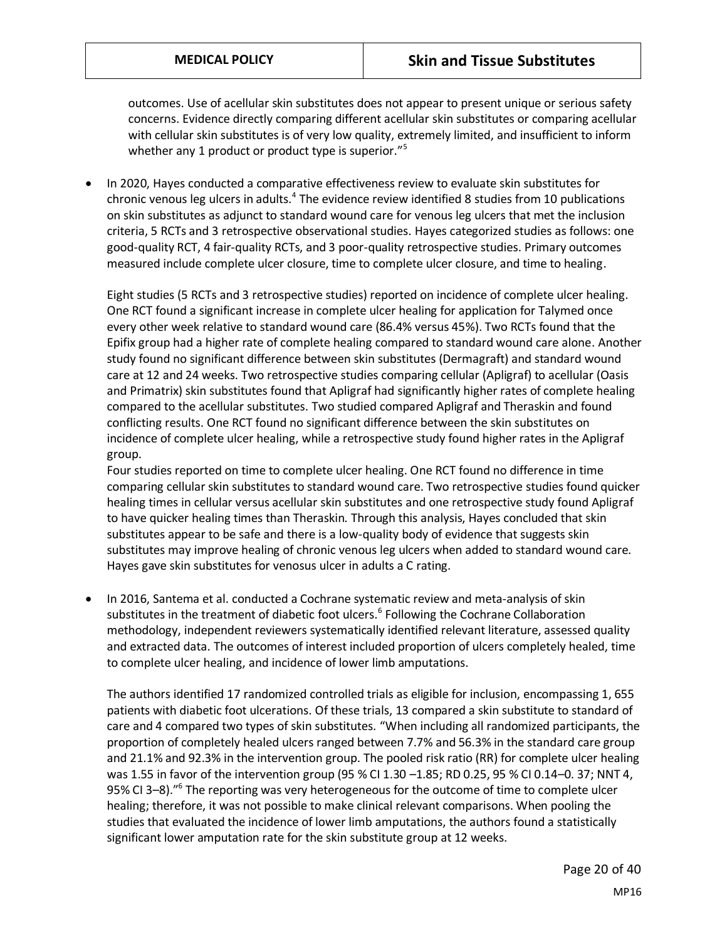outcomes. Use of acellular skin substitutes does not appear to present unique or serious safety concerns. Evidence directly comparing different acellular skin substitutes or comparing acellular with cellular skin substitutes is of very low quality, extremely limited, and insufficient to inform whether any 1 product or product type is superior."<sup>5</sup>

• In 2020, Hayes conducted a comparative effectiveness review to evaluate skin substitutes for chronic venous leg ulcers in adults.<sup>4</sup> The evidence review identified 8 studies from 10 publications on skin substitutes as adjunct to standard wound care for venous leg ulcers that met the inclusion criteria, 5 RCTs and 3 retrospective observational studies. Hayes categorized studies as follows: one good-quality RCT, 4 fair-quality RCTs, and 3 poor-quality retrospective studies. Primary outcomes measured include complete ulcer closure, time to complete ulcer closure, and time to healing.

Eight studies (5 RCTs and 3 retrospective studies) reported on incidence of complete ulcer healing. One RCT found a significant increase in complete ulcer healing for application for Talymed once every other week relative to standard wound care (86.4% versus 45%). Two RCTs found that the Epifix group had a higher rate of complete healing compared to standard wound care alone. Another study found no significant difference between skin substitutes (Dermagraft) and standard wound care at 12 and 24 weeks. Two retrospective studies comparing cellular (Apligraf) to acellular (Oasis and Primatrix) skin substitutes found that Apligraf had significantly higher rates of complete healing compared to the acellular substitutes. Two studied compared Apligraf and Theraskin and found conflicting results. One RCT found no significant difference between the skin substitutes on incidence of complete ulcer healing, while a retrospective study found higher rates in the Apligraf group.

Four studies reported on time to complete ulcer healing. One RCT found no difference in time comparing cellular skin substitutes to standard wound care. Two retrospective studies found quicker healing times in cellular versus acellular skin substitutes and one retrospective study found Apligraf to have quicker healing times than Theraskin. Through this analysis, Hayes concluded that skin substitutes appear to be safe and there is a low-quality body of evidence that suggests skin substitutes may improve healing of chronic venous leg ulcers when added to standard wound care. Hayes gave skin substitutes for venosus ulcer in adults a C rating.

• In 2016, Santema et al. conducted a Cochrane systematic review and meta-analysis of skin substitutes in the treatment of diabetic foot ulcers.<sup>6</sup> Following the Cochrane Collaboration methodology, independent reviewers systematically identified relevant literature, assessed quality and extracted data. The outcomes of interest included proportion of ulcers completely healed, time to complete ulcer healing, and incidence of lower limb amputations.

The authors identified 17 randomized controlled trials as eligible for inclusion, encompassing 1, 655 patients with diabetic foot ulcerations. Of these trials, 13 compared a skin substitute to standard of care and 4 compared two types of skin substitutes. "When including all randomized participants, the proportion of completely healed ulcers ranged between 7.7% and 56.3% in the standard care group and 21.1% and 92.3% in the intervention group. The pooled risk ratio (RR) for complete ulcer healing was 1.55 in favor of the intervention group (95 % CI 1.30 –1.85; RD 0.25, 95 % CI 0.14–0. 37; NNT 4, 95% CI 3-8)."<sup>6</sup> The reporting was very heterogeneous for the outcome of time to complete ulcer healing; therefore, it was not possible to make clinical relevant comparisons. When pooling the studies that evaluated the incidence of lower limb amputations, the authors found a statistically significant lower amputation rate for the skin substitute group at 12 weeks.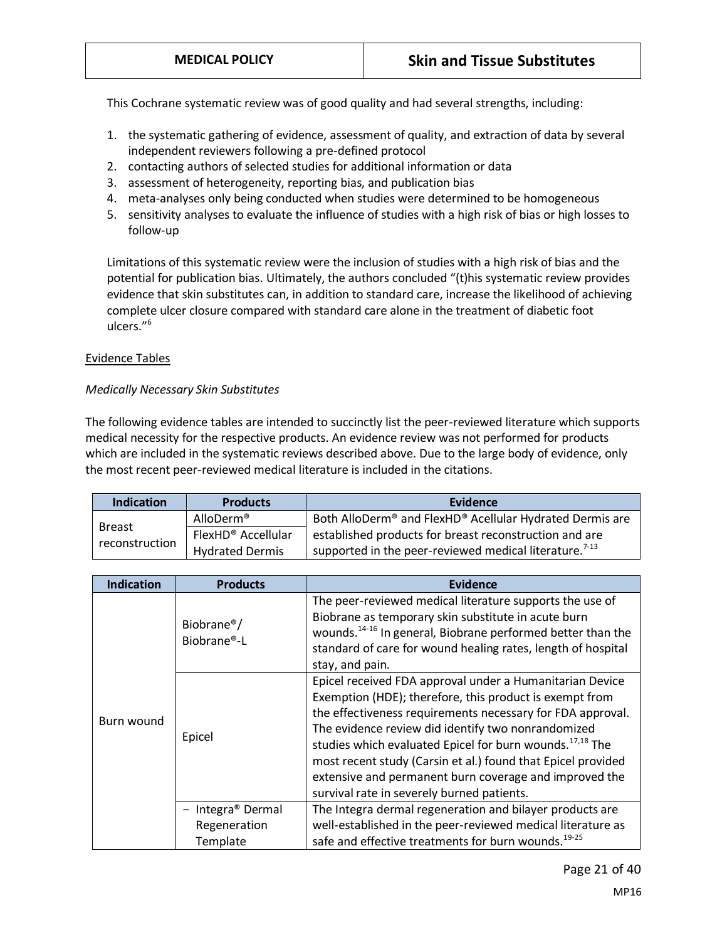This Cochrane systematic review was of good quality and had several strengths, including:

- 1. the systematic gathering of evidence, assessment of quality, and extraction of data by several independent reviewers following a pre-defined protocol
- 2. contacting authors of selected studies for additional information or data
- 3. assessment of heterogeneity, reporting bias, and publication bias
- 4. meta-analyses only being conducted when studies were determined to be homogeneous
- 5. sensitivity analyses to evaluate the influence of studies with a high risk of bias or high losses to follow-up

Limitations of this systematic review were the inclusion of studies with a high risk of bias and the potential for publication bias. Ultimately, the authors concluded "(t)his systematic review provides evidence that skin substitutes can, in addition to standard care, increase the likelihood of achieving complete ulcer closure compared with standard care alone in the treatment of diabetic foot ulcers."<sup>6</sup>

#### Evidence Tables

#### *Medically Necessary Skin Substitutes*

The following evidence tables are intended to succinctly list the peer-reviewed literature which supports medical necessity for the respective products. An evidence review was not performed for products which are included in the systematic reviews described above. Due to the large body of evidence, only the most recent peer-reviewed medical literature is included in the citations.

| <b>Indication</b>               | <b>Products</b>        | Evidence                                                                         |
|---------------------------------|------------------------|----------------------------------------------------------------------------------|
|                                 | AlloDerm®              | Both AlloDerm <sup>®</sup> and FlexHD <sup>®</sup> Acellular Hydrated Dermis are |
| <b>Breast</b><br>reconstruction | FlexHD® Accellular     | established products for breast reconstruction and are                           |
|                                 | <b>Hydrated Dermis</b> | supported in the peer-reviewed medical literature. <sup>7-13</sup>               |

| <b>Indication</b> | <b>Products</b>                        | Evidence                                                                                                                                                                                                                                                                                                                                                                                                                                                                                |  |
|-------------------|----------------------------------------|-----------------------------------------------------------------------------------------------------------------------------------------------------------------------------------------------------------------------------------------------------------------------------------------------------------------------------------------------------------------------------------------------------------------------------------------------------------------------------------------|--|
|                   | Biobrane <sup>®</sup> /<br>Biobrane®-L | The peer-reviewed medical literature supports the use of<br>Biobrane as temporary skin substitute in acute burn<br>wounds. <sup>14-16</sup> In general, Biobrane performed better than the<br>standard of care for wound healing rates, length of hospital<br>stay, and pain.                                                                                                                                                                                                           |  |
| Burn wound        | Epicel                                 | Epicel received FDA approval under a Humanitarian Device<br>Exemption (HDE); therefore, this product is exempt from<br>the effectiveness requirements necessary for FDA approval.<br>The evidence review did identify two nonrandomized<br>studies which evaluated Epicel for burn wounds. <sup>17,18</sup> The<br>most recent study (Carsin et al.) found that Epicel provided<br>extensive and permanent burn coverage and improved the<br>survival rate in severely burned patients. |  |
|                   | - Integra® Dermal<br>Regeneration      | The Integra dermal regeneration and bilayer products are<br>well-established in the peer-reviewed medical literature as                                                                                                                                                                                                                                                                                                                                                                 |  |
|                   | Template                               | safe and effective treatments for burn wounds. <sup>19-25</sup>                                                                                                                                                                                                                                                                                                                                                                                                                         |  |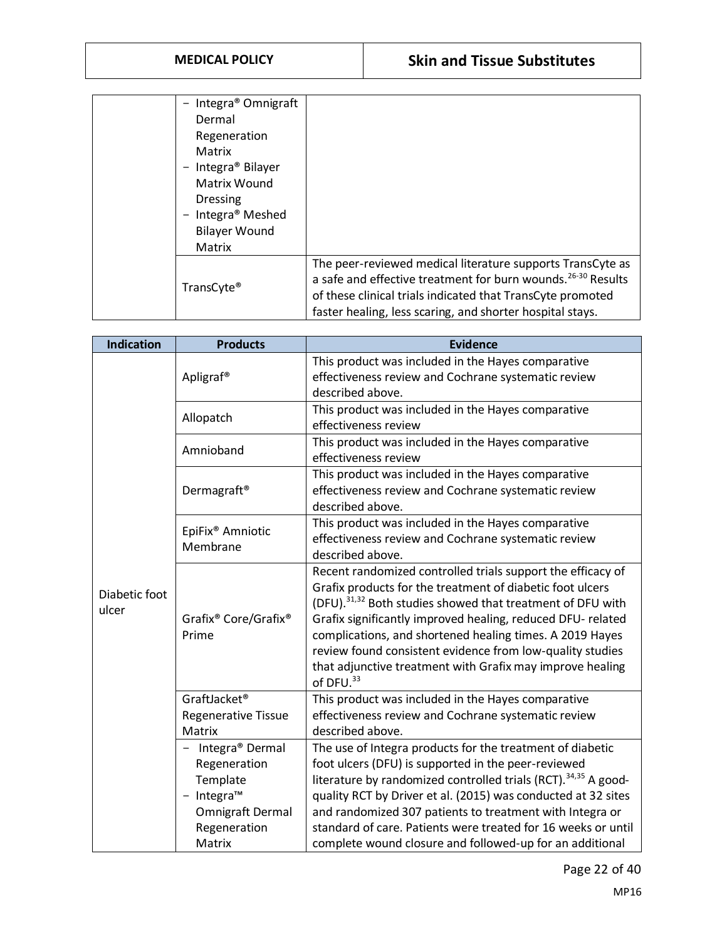| Integra <sup>®</sup> Omnigraft |                                                                                                                                        |
|--------------------------------|----------------------------------------------------------------------------------------------------------------------------------------|
| Dermal                         |                                                                                                                                        |
| Regeneration                   |                                                                                                                                        |
| Matrix                         |                                                                                                                                        |
| Integra® Bilayer               |                                                                                                                                        |
| Matrix Wound                   |                                                                                                                                        |
| <b>Dressing</b>                |                                                                                                                                        |
| Integra <sup>®</sup> Meshed    |                                                                                                                                        |
| <b>Bilayer Wound</b>           |                                                                                                                                        |
| Matrix                         |                                                                                                                                        |
|                                | The peer-reviewed medical literature supports TransCyte as<br>a safe and effective treatment for burn wounds. <sup>26-30</sup> Results |
| TransCyte <sup>®</sup>         | of these clinical trials indicated that TransCyte promoted                                                                             |
|                                | faster healing, less scaring, and shorter hospital stays.                                                                              |

| <b>Indication</b> | <b>Products</b>                                       | <b>Evidence</b>                                                                                                       |
|-------------------|-------------------------------------------------------|-----------------------------------------------------------------------------------------------------------------------|
|                   | Apligraf <sup>®</sup>                                 | This product was included in the Hayes comparative                                                                    |
|                   |                                                       | effectiveness review and Cochrane systematic review                                                                   |
|                   |                                                       | described above.                                                                                                      |
|                   | Allopatch                                             | This product was included in the Hayes comparative                                                                    |
|                   |                                                       | effectiveness review                                                                                                  |
|                   | Amnioband                                             | This product was included in the Hayes comparative<br>effectiveness review                                            |
|                   |                                                       | This product was included in the Hayes comparative                                                                    |
|                   | Dermagraft <sup>®</sup>                               | effectiveness review and Cochrane systematic review                                                                   |
|                   |                                                       | described above.                                                                                                      |
|                   | EpiFix <sup>®</sup> Amniotic                          | This product was included in the Hayes comparative                                                                    |
|                   | Membrane                                              | effectiveness review and Cochrane systematic review                                                                   |
|                   |                                                       | described above.                                                                                                      |
|                   |                                                       | Recent randomized controlled trials support the efficacy of                                                           |
| Diabetic foot     | Grafix <sup>®</sup> Core/Grafix <sup>®</sup><br>Prime | Grafix products for the treatment of diabetic foot ulcers                                                             |
| ulcer             |                                                       | (DFU). <sup>31,32</sup> Both studies showed that treatment of DFU with                                                |
|                   |                                                       | Grafix significantly improved healing, reduced DFU- related                                                           |
|                   |                                                       | complications, and shortened healing times. A 2019 Hayes<br>review found consistent evidence from low-quality studies |
|                   |                                                       | that adjunctive treatment with Grafix may improve healing                                                             |
|                   |                                                       | of DFU. <sup>33</sup>                                                                                                 |
|                   | GraftJacket®                                          | This product was included in the Hayes comparative                                                                    |
|                   | <b>Regenerative Tissue</b>                            | effectiveness review and Cochrane systematic review                                                                   |
|                   | Matrix                                                | described above.                                                                                                      |
|                   | Integra <sup>®</sup> Dermal                           | The use of Integra products for the treatment of diabetic                                                             |
|                   | Regeneration                                          | foot ulcers (DFU) is supported in the peer-reviewed                                                                   |
|                   | Template                                              | literature by randomized controlled trials (RCT). <sup>34,35</sup> A good-                                            |
|                   | $-$ Integra <sup>TM</sup>                             | quality RCT by Driver et al. (2015) was conducted at 32 sites                                                         |
|                   | Omnigraft Dermal                                      | and randomized 307 patients to treatment with Integra or                                                              |
|                   | Regeneration                                          | standard of care. Patients were treated for 16 weeks or until                                                         |
|                   | Matrix                                                | complete wound closure and followed-up for an additional                                                              |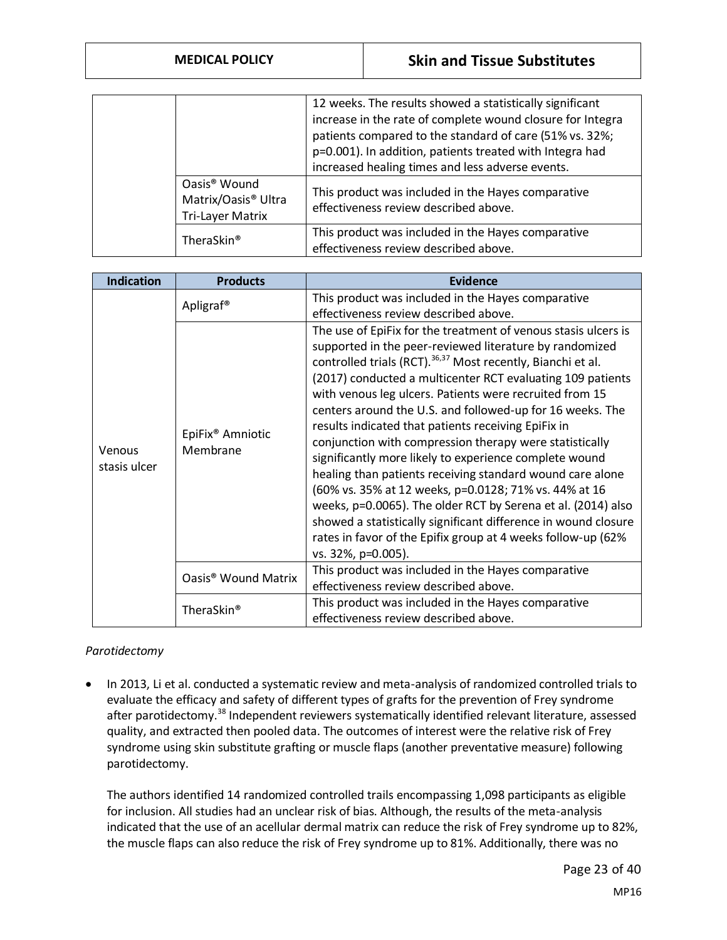|  |                                 | 12 weeks. The results showed a statistically significant   |
|--|---------------------------------|------------------------------------------------------------|
|  |                                 | increase in the rate of complete wound closure for Integra |
|  |                                 | patients compared to the standard of care (51% vs. 32%;    |
|  |                                 | p=0.001). In addition, patients treated with Integra had   |
|  |                                 | increased healing times and less adverse events.           |
|  | Oasis <sup>®</sup> Wound        | This product was included in the Hayes comparative         |
|  | Matrix/Oasis <sup>®</sup> Ultra | effectiveness review described above.                      |
|  | <b>Tri-Layer Matrix</b>         |                                                            |
|  | TheraSkin <sup>®</sup>          | This product was included in the Hayes comparative         |
|  |                                 | effectiveness review described above.                      |

| <b>Indication</b>      | <b>Products</b>                          | Evidence                                                                                                                                                                                                                                                                                                                                                                                                                                                                                                                                                                                                                                                                                                                                                                                                                                                                                                  |  |
|------------------------|------------------------------------------|-----------------------------------------------------------------------------------------------------------------------------------------------------------------------------------------------------------------------------------------------------------------------------------------------------------------------------------------------------------------------------------------------------------------------------------------------------------------------------------------------------------------------------------------------------------------------------------------------------------------------------------------------------------------------------------------------------------------------------------------------------------------------------------------------------------------------------------------------------------------------------------------------------------|--|
|                        | Apligraf <sup>®</sup>                    | This product was included in the Hayes comparative<br>effectiveness review described above.                                                                                                                                                                                                                                                                                                                                                                                                                                                                                                                                                                                                                                                                                                                                                                                                               |  |
| Venous<br>stasis ulcer | EpiFix <sup>®</sup> Amniotic<br>Membrane | The use of EpiFix for the treatment of venous stasis ulcers is<br>supported in the peer-reviewed literature by randomized<br>controlled trials (RCT). 36,37 Most recently, Bianchi et al.<br>(2017) conducted a multicenter RCT evaluating 109 patients<br>with venous leg ulcers. Patients were recruited from 15<br>centers around the U.S. and followed-up for 16 weeks. The<br>results indicated that patients receiving EpiFix in<br>conjunction with compression therapy were statistically<br>significantly more likely to experience complete wound<br>healing than patients receiving standard wound care alone<br>(60% vs. 35% at 12 weeks, p=0.0128; 71% vs. 44% at 16<br>weeks, p=0.0065). The older RCT by Serena et al. (2014) also<br>showed a statistically significant difference in wound closure<br>rates in favor of the Epifix group at 4 weeks follow-up (62%<br>vs. 32%, p=0.005). |  |
|                        | Oasis <sup>®</sup> Wound Matrix          | This product was included in the Hayes comparative<br>effectiveness review described above.                                                                                                                                                                                                                                                                                                                                                                                                                                                                                                                                                                                                                                                                                                                                                                                                               |  |
|                        | TheraSkin <sup>®</sup>                   | This product was included in the Hayes comparative<br>effectiveness review described above.                                                                                                                                                                                                                                                                                                                                                                                                                                                                                                                                                                                                                                                                                                                                                                                                               |  |

#### *Parotidectomy*

• In 2013, Li et al. conducted a systematic review and meta-analysis of randomized controlled trials to evaluate the efficacy and safety of different types of grafts for the prevention of Frey syndrome after parotidectomy.<sup>38</sup> Independent reviewers systematically identified relevant literature, assessed quality, and extracted then pooled data. The outcomes of interest were the relative risk of Frey syndrome using skin substitute grafting or muscle flaps (another preventative measure) following parotidectomy.

The authors identified 14 randomized controlled trails encompassing 1,098 participants as eligible for inclusion. All studies had an unclear risk of bias. Although, the results of the meta-analysis indicated that the use of an acellular dermal matrix can reduce the risk of Frey syndrome up to 82%, the muscle flaps can also reduce the risk of Frey syndrome up to 81%. Additionally, there was no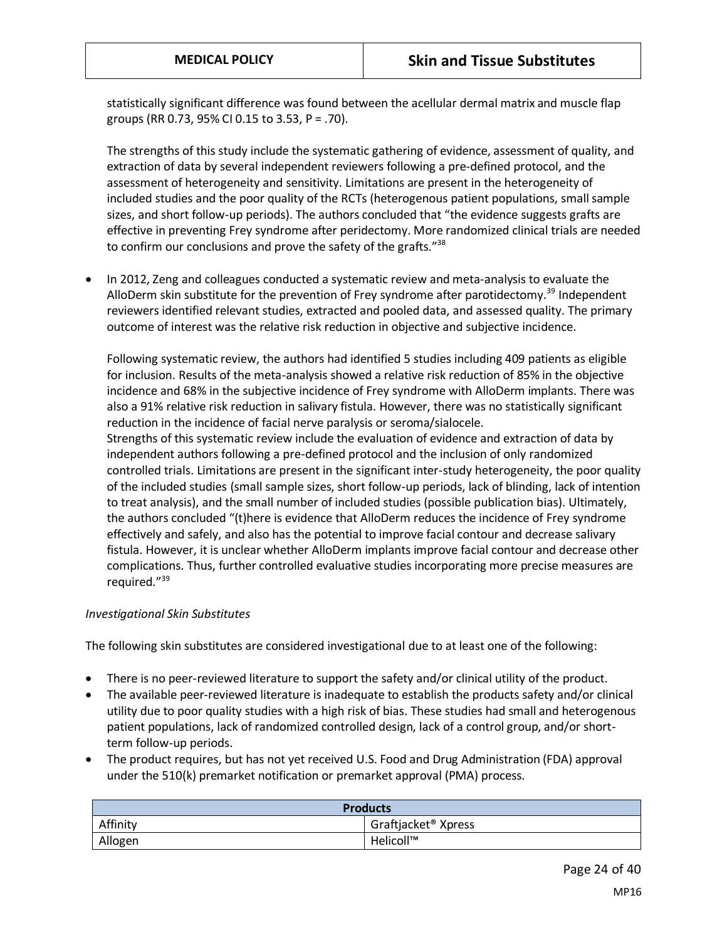statistically significant difference was found between the acellular dermal matrix and muscle flap groups (RR 0.73, 95% CI 0.15 to 3.53, P = .70).

The strengths of this study include the systematic gathering of evidence, assessment of quality, and extraction of data by several independent reviewers following a pre-defined protocol, and the assessment of heterogeneity and sensitivity. Limitations are present in the heterogeneity of included studies and the poor quality of the RCTs (heterogenous patient populations, small sample sizes, and short follow-up periods). The authors concluded that "the evidence suggests grafts are effective in preventing Frey syndrome after peridectomy. More randomized clinical trials are needed to confirm our conclusions and prove the safety of the grafts."<sup>38</sup>

• In 2012, Zeng and colleagues conducted a systematic review and meta-analysis to evaluate the AlloDerm skin substitute for the prevention of Frey syndrome after parotidectomy.<sup>39</sup> Independent reviewers identified relevant studies, extracted and pooled data, and assessed quality. The primary outcome of interest was the relative risk reduction in objective and subjective incidence.

Following systematic review, the authors had identified 5 studies including 409 patients as eligible for inclusion. Results of the meta-analysis showed a relative risk reduction of 85% in the objective incidence and 68% in the subjective incidence of Frey syndrome with AlloDerm implants. There was also a 91% relative risk reduction in salivary fistula. However, there was no statistically significant reduction in the incidence of facial nerve paralysis or seroma/sialocele.

Strengths of this systematic review include the evaluation of evidence and extraction of data by independent authors following a pre-defined protocol and the inclusion of only randomized controlled trials. Limitations are present in the significant inter-study heterogeneity, the poor quality of the included studies (small sample sizes, short follow-up periods, lack of blinding, lack of intention to treat analysis), and the small number of included studies (possible publication bias). Ultimately, the authors concluded "(t)here is evidence that AlloDerm reduces the incidence of Frey syndrome effectively and safely, and also has the potential to improve facial contour and decrease salivary fistula. However, it is unclear whether AlloDerm implants improve facial contour and decrease other complications. Thus, further controlled evaluative studies incorporating more precise measures are required."<sup>39</sup>

#### *Investigational Skin Substitutes*

The following skin substitutes are considered investigational due to at least one of the following:

- There is no peer-reviewed literature to support the safety and/or clinical utility of the product.
- The available peer-reviewed literature is inadequate to establish the products safety and/or clinical utility due to poor quality studies with a high risk of bias. These studies had small and heterogenous patient populations, lack of randomized controlled design, lack of a control group, and/or shortterm follow-up periods.
- The product requires, but has not yet received U.S. Food and Drug Administration (FDA) approval under the 510(k) premarket notification or premarket approval (PMA) process.

| <b>Products</b> |                                 |
|-----------------|---------------------------------|
| Affinity        | Graftjacket <sup>®</sup> Xpress |
| Allogen         | Helicoll™                       |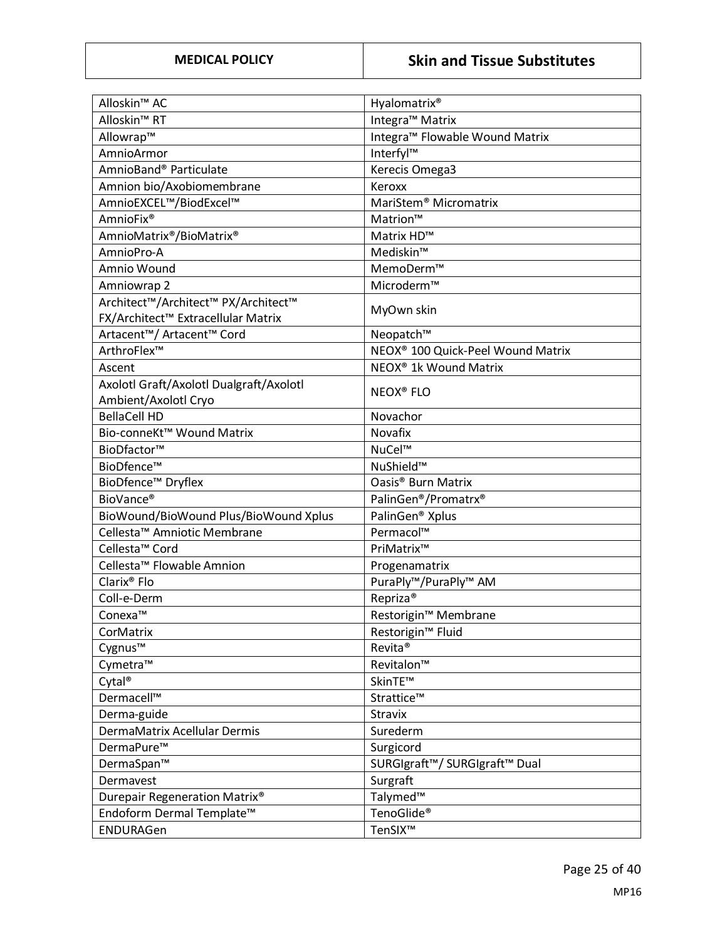| Alloskin <sup>™</sup> AC                | Hyalomatrix <sup>®</sup>                               |
|-----------------------------------------|--------------------------------------------------------|
| Alloskin <sup>™</sup> RT                | Integra <sup>™</sup> Matrix                            |
| Allowrap™                               | Integra <sup>™</sup> Flowable Wound Matrix             |
| AmnioArmor                              | Interfyl™                                              |
| AmnioBand® Particulate                  | Kerecis Omega3                                         |
| Amnion bio/Axobiomembrane               | Keroxx                                                 |
| AmnioEXCEL™/BiodExcel™                  | MariStem <sup>®</sup> Micromatrix                      |
| AmnioFix <sup>®</sup>                   | Matrion™                                               |
| AmnioMatrix®/BioMatrix®                 | Matrix HD™                                             |
| AmnioPro-A                              | Mediskin™                                              |
| Amnio Wound                             | MemoDerm™                                              |
| Amniowrap 2                             | Microderm™                                             |
| Architect™/Architect™ PX/Architect™     |                                                        |
| FX/Architect™ Extracellular Matrix      | MyOwn skin                                             |
| Artacent™/ Artacent™ Cord               | Neopatch™                                              |
| ArthroFlex™                             | NEOX <sup>®</sup> 100 Quick-Peel Wound Matrix          |
| Ascent                                  | NEOX <sup>®</sup> 1k Wound Matrix                      |
| Axolotl Graft/Axolotl Dualgraft/Axolotl | <b>NEOX® FLO</b>                                       |
| Ambient/Axolotl Cryo                    |                                                        |
| <b>BellaCell HD</b>                     | Novachor                                               |
| Bio-conneKt™ Wound Matrix               | Novafix                                                |
| BioDfactor™                             | NuCel™                                                 |
| BioDfence™                              | NuShield™                                              |
| BioDfence <sup>™</sup> Dryflex          | Oasis <sup>®</sup> Burn Matrix                         |
| BioVance®                               | PalinGen®/Promatrx®                                    |
| BioWound/BioWound Plus/BioWound Xplus   | PalinGen <sup>®</sup> Xplus                            |
| Cellesta <sup>™</sup> Amniotic Membrane | Permacol™                                              |
| Cellesta <sup>™</sup> Cord              | PriMatrix™                                             |
| Cellesta <sup>™</sup> Flowable Amnion   | Progenamatrix                                          |
| Clarix <sup>®</sup> Flo                 | PuraPly™/PuraPly™ AM                                   |
| Coll-e-Derm                             | Repriza <sup>®</sup>                                   |
| Conexa™                                 | Restorigin™ Membrane                                   |
| CorMatrix                               | Restorigin <sup>™</sup> Fluid                          |
| Cygnus™                                 | Revita®                                                |
| Cymetra™                                | Revitalon™                                             |
| Cytal <sup>®</sup>                      | SkinTE™                                                |
| Dermacell™                              | Strattice™                                             |
| Derma-guide                             | <b>Stravix</b>                                         |
| DermaMatrix Acellular Dermis            | Surederm                                               |
| DermaPure™                              | Surgicord                                              |
| DermaSpan™                              | SURGIgraft <sup>™</sup> / SURGIgraft <sup>™</sup> Dual |
| Dermavest                               | Surgraft                                               |
| Durepair Regeneration Matrix®           | Talymed™                                               |
| Endoform Dermal Template™               | TenoGlide <sup>®</sup>                                 |
| ENDURAGen                               | TenSIX™                                                |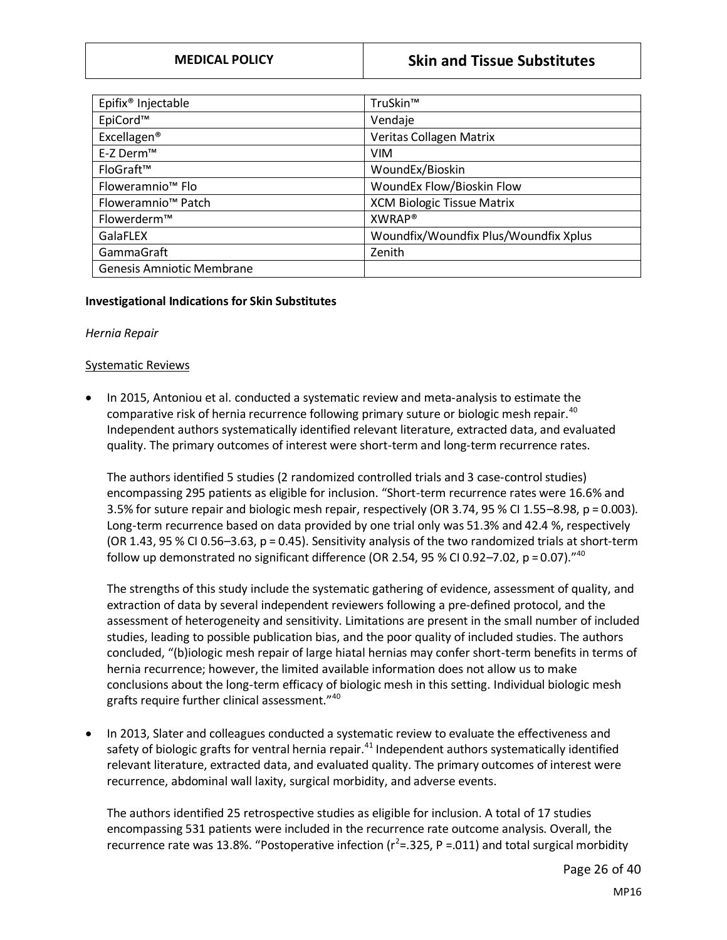| Epifix <sup>®</sup> Injectable   | TruSkin™                              |
|----------------------------------|---------------------------------------|
| EpiCord™                         | Vendaje                               |
| Excellagen <sup>®</sup>          | Veritas Collagen Matrix               |
| E-Z Derm™                        | <b>VIM</b>                            |
| FloGraft™                        | WoundEx/Bioskin                       |
| Floweramnio <sup>™</sup> Flo     | WoundEx Flow/Bioskin Flow             |
| Floweramnio <sup>™</sup> Patch   | <b>XCM Biologic Tissue Matrix</b>     |
| Flowerderm™                      | XWRAP <sup>®</sup>                    |
| GalaFLEX                         | Woundfix/Woundfix Plus/Woundfix Xplus |
| GammaGraft                       | Zenith                                |
| <b>Genesis Amniotic Membrane</b> |                                       |

#### **Investigational Indications for Skin Substitutes**

#### *Hernia Repair*

#### Systematic Reviews

• In 2015, Antoniou et al. conducted a systematic review and meta-analysis to estimate the comparative risk of hernia recurrence following primary suture or biologic mesh repair.<sup>40</sup> Independent authors systematically identified relevant literature, extracted data, and evaluated quality. The primary outcomes of interest were short-term and long-term recurrence rates.

The authors identified 5 studies (2 randomized controlled trials and 3 case-control studies) encompassing 295 patients as eligible for inclusion. "Short-term recurrence rates were 16.6% and 3.5% for suture repair and biologic mesh repair, respectively (OR 3.74, 95 % CI 1.55–8.98, p = 0.003). Long-term recurrence based on data provided by one trial only was 51.3% and 42.4 %, respectively (OR 1.43, 95 % CI 0.56–3.63, p = 0.45). Sensitivity analysis of the two randomized trials at short-term follow up demonstrated no significant difference (OR 2.54, 95 % CI 0.92–7.02, p = 0.07).<sup>"40</sup>

The strengths of this study include the systematic gathering of evidence, assessment of quality, and extraction of data by several independent reviewers following a pre-defined protocol, and the assessment of heterogeneity and sensitivity. Limitations are present in the small number of included studies, leading to possible publication bias, and the poor quality of included studies. The authors concluded, "(b)iologic mesh repair of large hiatal hernias may confer short-term benefits in terms of hernia recurrence; however, the limited available information does not allow us to make conclusions about the long-term efficacy of biologic mesh in this setting. Individual biologic mesh grafts require further clinical assessment."<sup>40</sup>

• In 2013, Slater and colleagues conducted a systematic review to evaluate the effectiveness and safety of biologic grafts for ventral hernia repair.<sup>41</sup> Independent authors systematically identified relevant literature, extracted data, and evaluated quality. The primary outcomes of interest were recurrence, abdominal wall laxity, surgical morbidity, and adverse events.

The authors identified 25 retrospective studies as eligible for inclusion. A total of 17 studies encompassing 531 patients were included in the recurrence rate outcome analysis. Overall, the recurrence rate was 13.8%. "Postoperative infection ( $r^2$ =.325, P =.011) and total surgical morbidity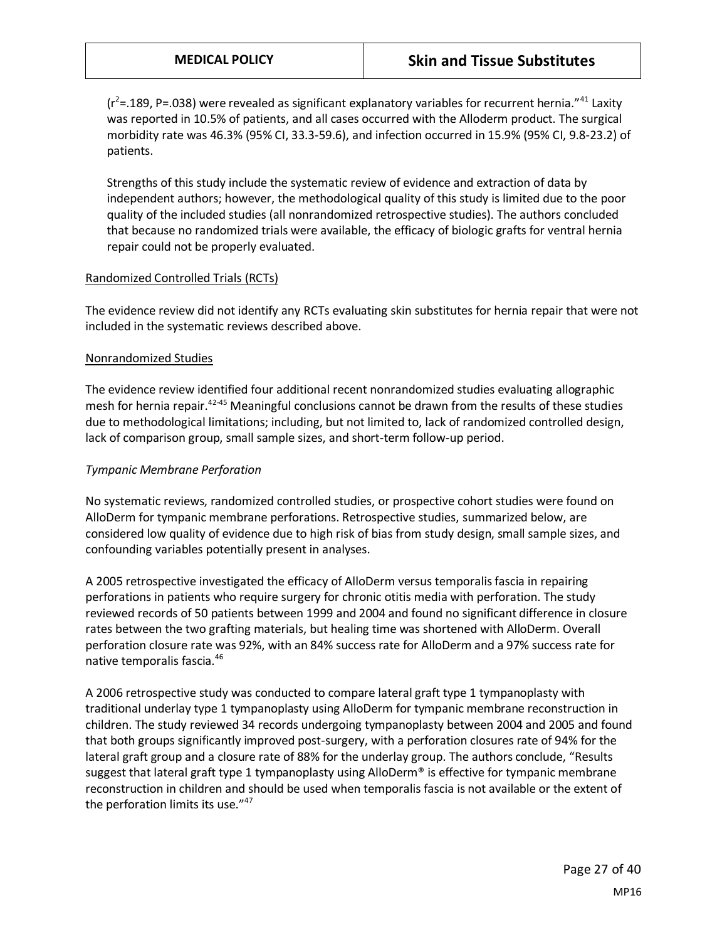$(r^2=$  189, P=.038) were revealed as significant explanatory variables for recurrent hernia.<sup>"41</sup> Laxity was reported in 10.5% of patients, and all cases occurred with the Alloderm product. The surgical morbidity rate was 46.3% (95% CI, 33.3-59.6), and infection occurred in 15.9% (95% CI, 9.8-23.2) of patients.

Strengths of this study include the systematic review of evidence and extraction of data by independent authors; however, the methodological quality of this study is limited due to the poor quality of the included studies (all nonrandomized retrospective studies). The authors concluded that because no randomized trials were available, the efficacy of biologic grafts for ventral hernia repair could not be properly evaluated.

#### Randomized Controlled Trials (RCTs)

The evidence review did not identify any RCTs evaluating skin substitutes for hernia repair that were not included in the systematic reviews described above.

#### Nonrandomized Studies

The evidence review identified four additional recent nonrandomized studies evaluating allographic mesh for hernia repair.<sup>42-45</sup> Meaningful conclusions cannot be drawn from the results of these studies due to methodological limitations; including, but not limited to, lack of randomized controlled design, lack of comparison group, small sample sizes, and short-term follow-up period.

#### *Tympanic Membrane Perforation*

No systematic reviews, randomized controlled studies, or prospective cohort studies were found on AlloDerm for tympanic membrane perforations. Retrospective studies, summarized below, are considered low quality of evidence due to high risk of bias from study design, small sample sizes, and confounding variables potentially present in analyses.

A 2005 retrospective investigated the efficacy of AlloDerm versus temporalis fascia in repairing perforations in patients who require surgery for chronic otitis media with perforation. The study reviewed records of 50 patients between 1999 and 2004 and found no significant difference in closure rates between the two grafting materials, but healing time was shortened with AlloDerm. Overall perforation closure rate was 92%, with an 84% success rate for AlloDerm and a 97% success rate for native temporalis fascia.<sup>46</sup>

A 2006 retrospective study was conducted to compare lateral graft type 1 tympanoplasty with traditional underlay type 1 tympanoplasty using AlloDerm for tympanic membrane reconstruction in children. The study reviewed 34 records undergoing tympanoplasty between 2004 and 2005 and found that both groups significantly improved post-surgery, with a perforation closures rate of 94% for the lateral graft group and a closure rate of 88% for the underlay group. The authors conclude, "Results suggest that lateral graft type 1 tympanoplasty using AlloDerm® is effective for tympanic membrane reconstruction in children and should be used when temporalis fascia is not available or the extent of the perforation limits its use."<sup>47</sup>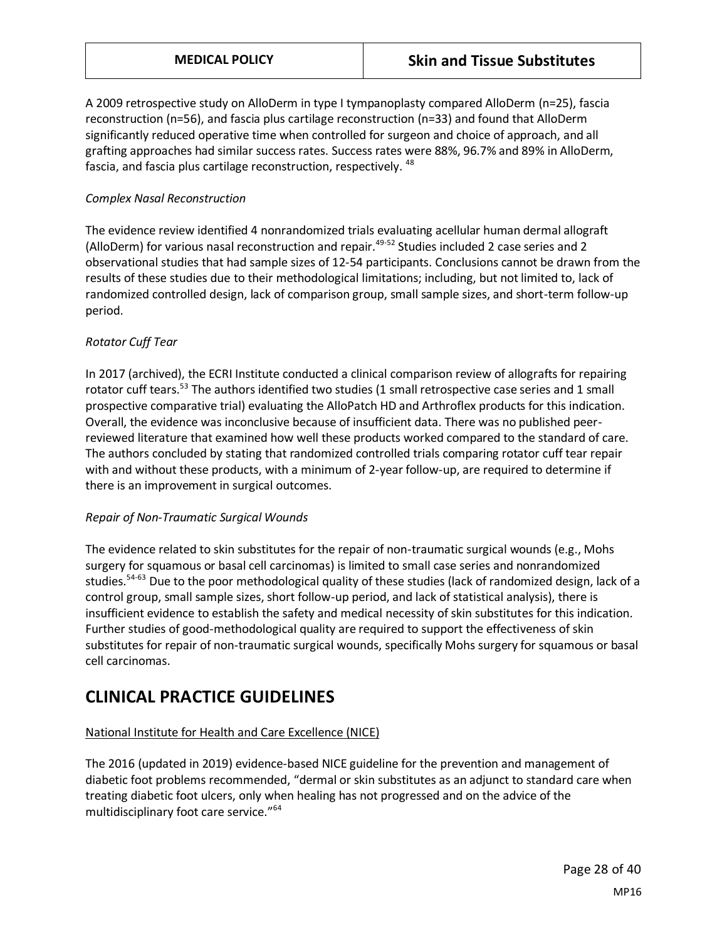A 2009 retrospective study on AlloDerm in type I tympanoplasty compared AlloDerm (n=25), fascia reconstruction (n=56), and fascia plus cartilage reconstruction (n=33) and found that AlloDerm significantly reduced operative time when controlled for surgeon and choice of approach, and all grafting approaches had similar success rates. Success rates were 88%, 96.7% and 89% in AlloDerm, fascia, and fascia plus cartilage reconstruction, respectively. <sup>48</sup>

#### *Complex Nasal Reconstruction*

The evidence review identified 4 nonrandomized trials evaluating acellular human dermal allograft (AlloDerm) for various nasal reconstruction and repair.<sup>49-52</sup> Studies included 2 case series and 2 observational studies that had sample sizes of 12-54 participants. Conclusions cannot be drawn from the results of these studies due to their methodological limitations; including, but not limited to, lack of randomized controlled design, lack of comparison group, small sample sizes, and short-term follow-up period.

#### *Rotator Cuff Tear*

In 2017 (archived), the ECRI Institute conducted a clinical comparison review of allografts for repairing rotator cuff tears.<sup>53</sup> The authors identified two studies (1 small retrospective case series and 1 small prospective comparative trial) evaluating the AlloPatch HD and Arthroflex products for this indication. Overall, the evidence was inconclusive because of insufficient data. There was no published peerreviewed literature that examined how well these products worked compared to the standard of care. The authors concluded by stating that randomized controlled trials comparing rotator cuff tear repair with and without these products, with a minimum of 2-year follow-up, are required to determine if there is an improvement in surgical outcomes.

#### *Repair of Non-Traumatic Surgical Wounds*

The evidence related to skin substitutes for the repair of non-traumatic surgical wounds (e.g., Mohs surgery for squamous or basal cell carcinomas) is limited to small case series and nonrandomized studies.<sup>54-63</sup> Due to the poor methodological quality of these studies (lack of randomized design, lack of a control group, small sample sizes, short follow-up period, and lack of statistical analysis), there is insufficient evidence to establish the safety and medical necessity of skin substitutes for this indication. Further studies of good-methodological quality are required to support the effectiveness of skin substitutes for repair of non-traumatic surgical wounds, specifically Mohs surgery for squamous or basal cell carcinomas.

# **CLINICAL PRACTICE GUIDELINES**

### National Institute for Health and Care Excellence (NICE)

The 2016 (updated in 2019) evidence-based NICE guideline for the prevention and management of diabetic foot problems recommended, "dermal or skin substitutes as an adjunct to standard care when treating diabetic foot ulcers, only when healing has not progressed and on the advice of the multidisciplinary foot care service."<sup>64</sup>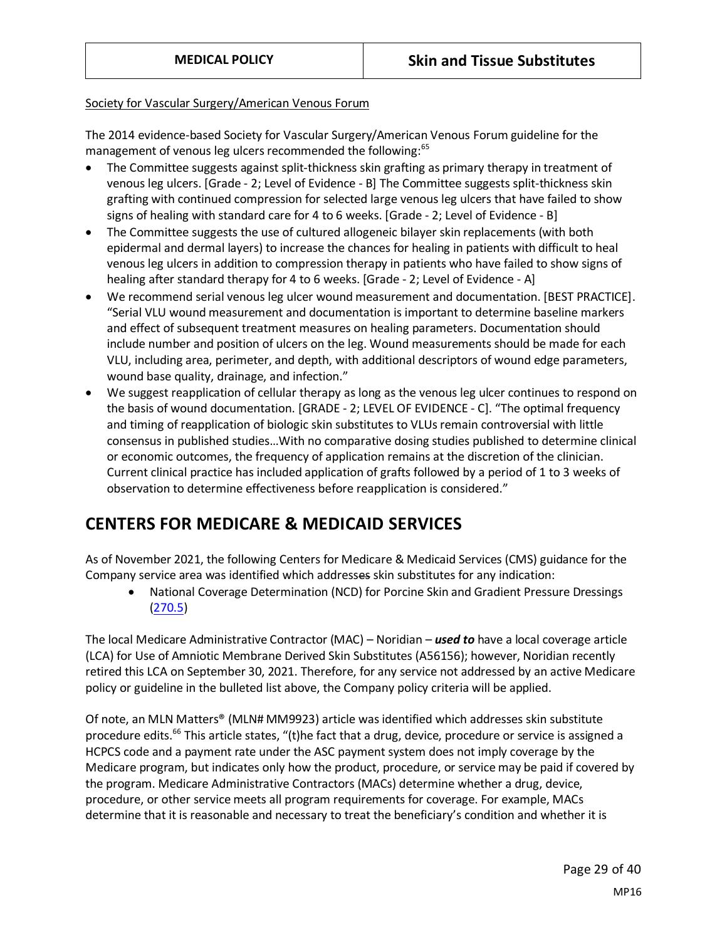#### Society for Vascular Surgery/American Venous Forum

The 2014 evidence-based Society for Vascular Surgery/American Venous Forum guideline for the management of venous leg ulcers recommended the following:<sup>65</sup>

- The Committee suggests against split-thickness skin grafting as primary therapy in treatment of venous leg ulcers. [Grade - 2; Level of Evidence - B] The Committee suggests split-thickness skin grafting with continued compression for selected large venous leg ulcers that have failed to show signs of healing with standard care for 4 to 6 weeks. [Grade - 2; Level of Evidence - B]
- The Committee suggests the use of cultured allogeneic bilayer skin replacements (with both epidermal and dermal layers) to increase the chances for healing in patients with difficult to heal venous leg ulcers in addition to compression therapy in patients who have failed to show signs of healing after standard therapy for 4 to 6 weeks. [Grade - 2; Level of Evidence - A]
- We recommend serial venous leg ulcer wound measurement and documentation. [BEST PRACTICE]. "Serial VLU wound measurement and documentation is important to determine baseline markers and effect of subsequent treatment measures on healing parameters. Documentation should include number and position of ulcers on the leg. Wound measurements should be made for each VLU, including area, perimeter, and depth, with additional descriptors of wound edge parameters, wound base quality, drainage, and infection."
- We suggest reapplication of cellular therapy as long as the venous leg ulcer continues to respond on the basis of wound documentation. [GRADE - 2; LEVEL OF EVIDENCE - C]. "The optimal frequency and timing of reapplication of biologic skin substitutes to VLUs remain controversial with little consensus in published studies…With no comparative dosing studies published to determine clinical or economic outcomes, the frequency of application remains at the discretion of the clinician. Current clinical practice has included application of grafts followed by a period of 1 to 3 weeks of observation to determine effectiveness before reapplication is considered."

# **CENTERS FOR MEDICARE & MEDICAID SERVICES**

As of November 2021, the following Centers for Medicare & Medicaid Services (CMS) guidance for the Company service area was identified which addresses skin substitutes for any indication:

• National Coverage Determination (NCD) for Porcine Skin and Gradient Pressure Dressings [\(270.5\)](https://www.cms.gov/medicare-coverage-database/details/ncd-details.aspx?ncdid=139)

The local Medicare Administrative Contractor (MAC) – Noridian – *used to* have a local coverage article (LCA) for Use of Amniotic Membrane Derived Skin Substitutes (A56156); however, Noridian recently retired this LCA on September 30, 2021. Therefore, for any service not addressed by an active Medicare policy or guideline in the bulleted list above, the Company policy criteria will be applied.

Of note, an MLN Matters® (MLN# MM9923) article was identified which addresses skin substitute procedure edits.<sup>66</sup> This article states, "(t)he fact that a drug, device, procedure or service is assigned a HCPCS code and a payment rate under the ASC payment system does not imply coverage by the Medicare program, but indicates only how the product, procedure, or service may be paid if covered by the program. Medicare Administrative Contractors (MACs) determine whether a drug, device, procedure, or other service meets all program requirements for coverage. For example, MACs determine that it is reasonable and necessary to treat the beneficiary's condition and whether it is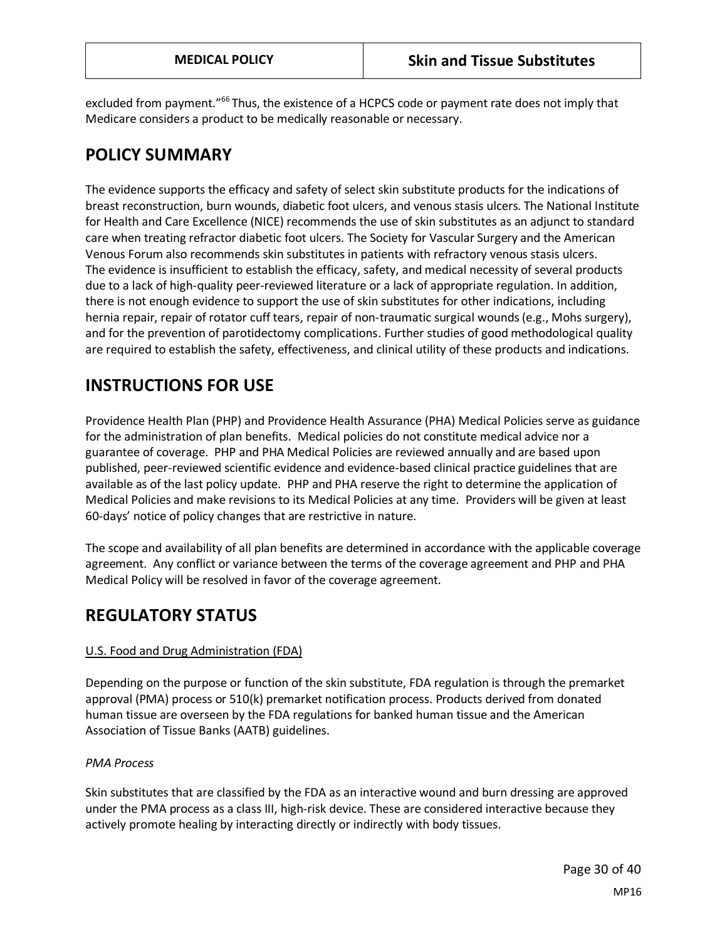excluded from payment."<sup>66</sup> Thus, the existence of a HCPCS code or payment rate does not imply that Medicare considers a product to be medically reasonable or necessary.

# **POLICY SUMMARY**

The evidence supports the efficacy and safety of select skin substitute products for the indications of breast reconstruction, burn wounds, diabetic foot ulcers, and venous stasis ulcers. The National Institute for Health and Care Excellence (NICE) recommends the use of skin substitutes as an adjunct to standard care when treating refractor diabetic foot ulcers. The Society for Vascular Surgery and the American Venous Forum also recommends skin substitutes in patients with refractory venous stasis ulcers. The evidence is insufficient to establish the efficacy, safety, and medical necessity of several products due to a lack of high-quality peer-reviewed literature or a lack of appropriate regulation. In addition, there is not enough evidence to support the use of skin substitutes for other indications, including hernia repair, repair of rotator cuff tears, repair of non-traumatic surgical wounds (e.g., Mohs surgery), and for the prevention of parotidectomy complications. Further studies of good methodological quality are required to establish the safety, effectiveness, and clinical utility of these products and indications.

# **INSTRUCTIONS FOR USE**

Providence Health Plan (PHP) and Providence Health Assurance (PHA) Medical Policies serve as guidance for the administration of plan benefits. Medical policies do not constitute medical advice nor a guarantee of coverage. PHP and PHA Medical Policies are reviewed annually and are based upon published, peer-reviewed scientific evidence and evidence-based clinical practice guidelines that are available as of the last policy update. PHP and PHA reserve the right to determine the application of Medical Policies and make revisions to its Medical Policies at any time. Providers will be given at least 60-days' notice of policy changes that are restrictive in nature.

The scope and availability of all plan benefits are determined in accordance with the applicable coverage agreement. Any conflict or variance between the terms of the coverage agreement and PHP and PHA Medical Policy will be resolved in favor of the coverage agreement.

# **REGULATORY STATUS**

### U.S. Food and Drug Administration (FDA)

Depending on the purpose or function of the skin substitute, FDA regulation is through the premarket approval (PMA) process or 510(k) premarket notification process. Products derived from donated human tissue are overseen by the FDA regulations for banked human tissue and the American Association of Tissue Banks (AATB) guidelines.

### *PMA Process*

Skin substitutes that are classified by the FDA as an interactive wound and burn dressing are approved under the PMA process as a class III, high-risk device. These are considered interactive because they actively promote healing by interacting directly or indirectly with body tissues.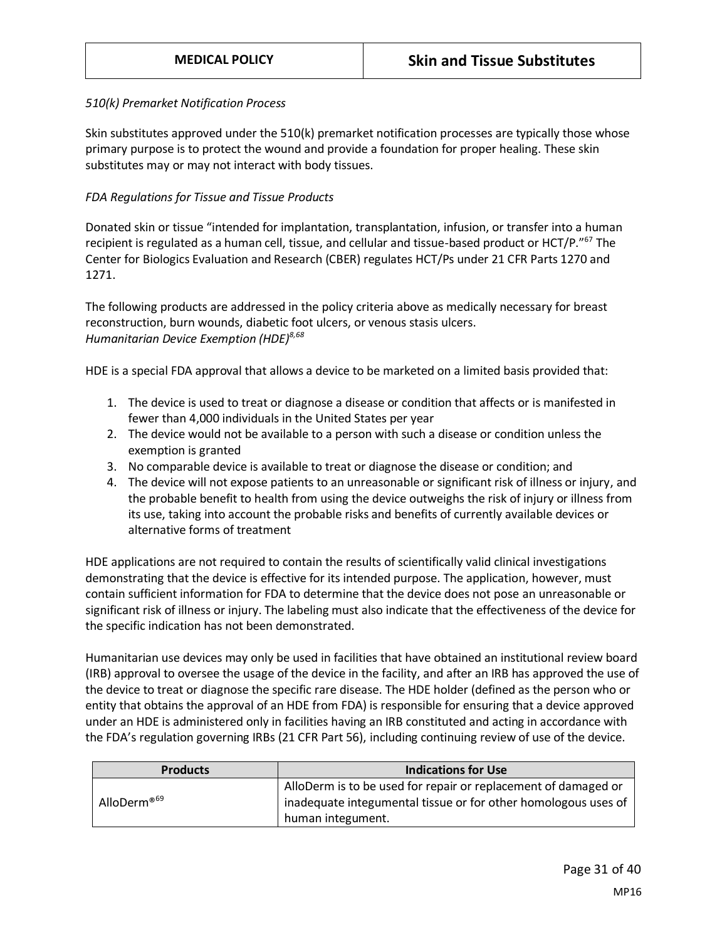#### *510(k) Premarket Notification Process*

Skin substitutes approved under the 510(k) premarket notification processes are typically those whose primary purpose is to protect the wound and provide a foundation for proper healing. These skin substitutes may or may not interact with body tissues.

#### *FDA Regulations for Tissue and Tissue Products*

Donated skin or tissue "intended for implantation, transplantation, infusion, or transfer into a human recipient is regulated as a human cell, tissue, and cellular and tissue-based product or HCT/P."<sup>67</sup> The Center for Biologics Evaluation and Research (CBER) regulates HCT/Ps under 21 CFR Parts 1270 and 1271.

The following products are addressed in the policy criteria above as medically necessary for breast reconstruction, burn wounds, diabetic foot ulcers, or venous stasis ulcers. *Humanitarian Device Exemption (HDE)8,68*

HDE is a special FDA approval that allows a device to be marketed on a limited basis provided that:

- 1. The device is used to treat or diagnose a disease or condition that affects or is manifested in fewer than 4,000 individuals in the United States per year
- 2. The device would not be available to a person with such a disease or condition unless the exemption is granted
- 3. No comparable device is available to treat or diagnose the disease or condition; and
- 4. The device will not expose patients to an unreasonable or significant risk of illness or injury, and the probable benefit to health from using the device outweighs the risk of injury or illness from its use, taking into account the probable risks and benefits of currently available devices or alternative forms of treatment

HDE applications are not required to contain the results of scientifically valid clinical investigations demonstrating that the device is effective for its intended purpose. The application, however, must contain sufficient information for FDA to determine that the device does not pose an unreasonable or significant risk of illness or injury. The labeling must also indicate that the effectiveness of the device for the specific indication has not been demonstrated.

Humanitarian use devices may only be used in facilities that have obtained an institutional review board (IRB) approval to oversee the usage of the device in the facility, and after an IRB has approved the use of the device to treat or diagnose the specific rare disease. The HDE holder (defined as the person who or entity that obtains the approval of an HDE from FDA) is responsible for ensuring that a device approved under an HDE is administered only in facilities having an IRB constituted and acting in accordance with the FDA's regulation governing IRBs (21 CFR Part 56), including continuing review of use of the device.

| <b>Products</b>         | <b>Indications for Use</b>                                                                                                       |
|-------------------------|----------------------------------------------------------------------------------------------------------------------------------|
| AlloDerm® <sup>69</sup> | AlloDerm is to be used for repair or replacement of damaged or<br>inadequate integumental tissue or for other homologous uses of |
|                         | human integument.                                                                                                                |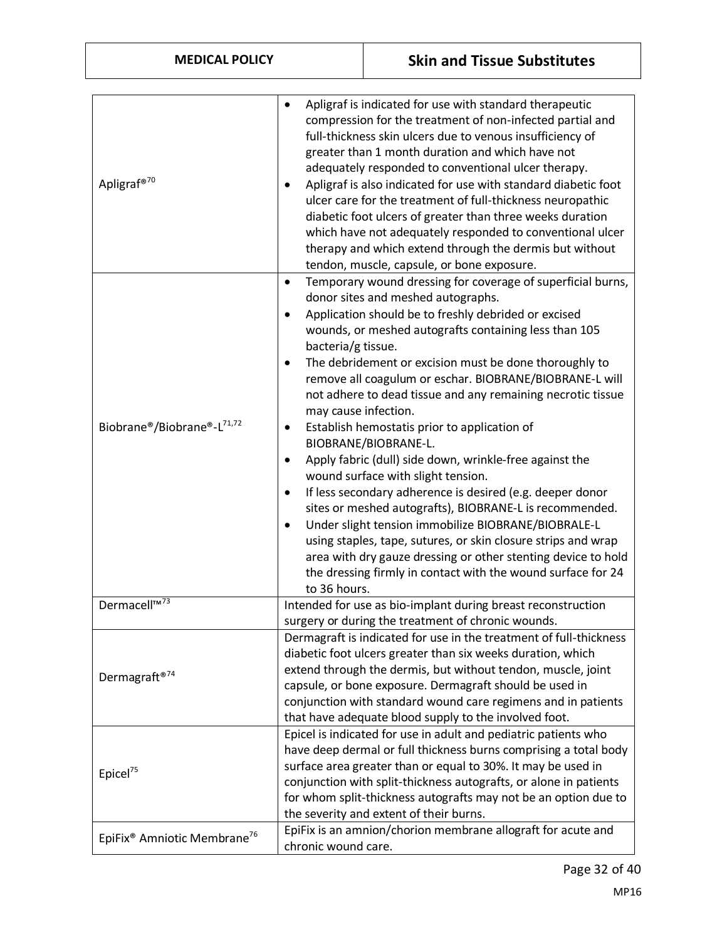| <b>MEDICAL POLICY</b>                                                       |                                                                                                                     | <b>Skin and Tissue Substitutes</b>                                                                                                                                                                                                                                                                                                                                                                                                                                                                                                                                                                                                                                                                                                                                                                                                                                                                                                                               |
|-----------------------------------------------------------------------------|---------------------------------------------------------------------------------------------------------------------|------------------------------------------------------------------------------------------------------------------------------------------------------------------------------------------------------------------------------------------------------------------------------------------------------------------------------------------------------------------------------------------------------------------------------------------------------------------------------------------------------------------------------------------------------------------------------------------------------------------------------------------------------------------------------------------------------------------------------------------------------------------------------------------------------------------------------------------------------------------------------------------------------------------------------------------------------------------|
| Apligraf® <sup>70</sup>                                                     | $\bullet$                                                                                                           | Apligraf is indicated for use with standard therapeutic<br>compression for the treatment of non-infected partial and<br>full-thickness skin ulcers due to venous insufficiency of<br>greater than 1 month duration and which have not<br>adequately responded to conventional ulcer therapy.<br>Apligraf is also indicated for use with standard diabetic foot<br>ulcer care for the treatment of full-thickness neuropathic<br>diabetic foot ulcers of greater than three weeks duration<br>which have not adequately responded to conventional ulcer<br>therapy and which extend through the dermis but without<br>tendon, muscle, capsule, or bone exposure.                                                                                                                                                                                                                                                                                                  |
| Biobrane®/Biobrane®-L <sup>71,72</sup>                                      | $\bullet$<br>bacteria/g tissue.<br>$\bullet$<br>may cause infection.<br>٠<br>$\bullet$<br>$\bullet$<br>to 36 hours. | Temporary wound dressing for coverage of superficial burns,<br>donor sites and meshed autographs.<br>Application should be to freshly debrided or excised<br>wounds, or meshed autografts containing less than 105<br>The debridement or excision must be done thoroughly to<br>remove all coagulum or eschar. BIOBRANE/BIOBRANE-L will<br>not adhere to dead tissue and any remaining necrotic tissue<br>Establish hemostatis prior to application of<br>BIOBRANE/BIOBRANE-L.<br>Apply fabric (dull) side down, wrinkle-free against the<br>wound surface with slight tension.<br>If less secondary adherence is desired (e.g. deeper donor<br>sites or meshed autografts), BIOBRANE-L is recommended.<br>Under slight tension immobilize BIOBRANE/BIOBRALE-L<br>using staples, tape, sutures, or skin closure strips and wrap<br>area with dry gauze dressing or other stenting device to hold<br>the dressing firmly in contact with the wound surface for 24 |
| Dermacell <sup>™73</sup>                                                    |                                                                                                                     | Intended for use as bio-implant during breast reconstruction<br>surgery or during the treatment of chronic wounds.                                                                                                                                                                                                                                                                                                                                                                                                                                                                                                                                                                                                                                                                                                                                                                                                                                               |
| Dermagraft®74                                                               |                                                                                                                     | Dermagraft is indicated for use in the treatment of full-thickness<br>diabetic foot ulcers greater than six weeks duration, which<br>extend through the dermis, but without tendon, muscle, joint<br>capsule, or bone exposure. Dermagraft should be used in<br>conjunction with standard wound care regimens and in patients<br>that have adequate blood supply to the involved foot.                                                                                                                                                                                                                                                                                                                                                                                                                                                                                                                                                                           |
| Epicel <sup>75</sup><br>EpiFix <sup>®</sup> Amniotic Membrane <sup>76</sup> |                                                                                                                     | Epicel is indicated for use in adult and pediatric patients who<br>have deep dermal or full thickness burns comprising a total body<br>surface area greater than or equal to 30%. It may be used in<br>conjunction with split-thickness autografts, or alone in patients<br>for whom split-thickness autografts may not be an option due to<br>the severity and extent of their burns.<br>EpiFix is an amnion/chorion membrane allograft for acute and                                                                                                                                                                                                                                                                                                                                                                                                                                                                                                           |
|                                                                             | chronic wound care.                                                                                                 |                                                                                                                                                                                                                                                                                                                                                                                                                                                                                                                                                                                                                                                                                                                                                                                                                                                                                                                                                                  |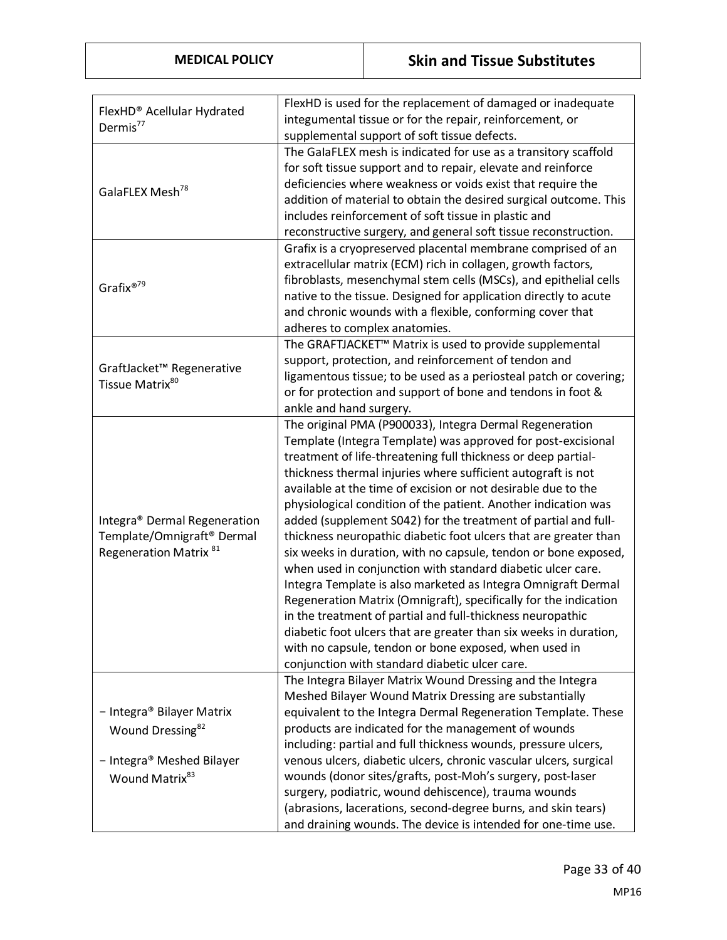| FlexHD® Acellular Hydrated<br>Dermis $77$                                                                            | FlexHD is used for the replacement of damaged or inadequate<br>integumental tissue or for the repair, reinforcement, or<br>supplemental support of soft tissue defects.                                                                                                                                                                                                                                                                                                                                                                                                                                                                                                                                                                                                                                                                                                                                                                                                                                                                                |
|----------------------------------------------------------------------------------------------------------------------|--------------------------------------------------------------------------------------------------------------------------------------------------------------------------------------------------------------------------------------------------------------------------------------------------------------------------------------------------------------------------------------------------------------------------------------------------------------------------------------------------------------------------------------------------------------------------------------------------------------------------------------------------------------------------------------------------------------------------------------------------------------------------------------------------------------------------------------------------------------------------------------------------------------------------------------------------------------------------------------------------------------------------------------------------------|
| GalaFLEX Mesh <sup>78</sup>                                                                                          | The GalaFLEX mesh is indicated for use as a transitory scaffold<br>for soft tissue support and to repair, elevate and reinforce<br>deficiencies where weakness or voids exist that require the<br>addition of material to obtain the desired surgical outcome. This<br>includes reinforcement of soft tissue in plastic and<br>reconstructive surgery, and general soft tissue reconstruction.                                                                                                                                                                                                                                                                                                                                                                                                                                                                                                                                                                                                                                                         |
| Grafix® <sup>79</sup>                                                                                                | Grafix is a cryopreserved placental membrane comprised of an<br>extracellular matrix (ECM) rich in collagen, growth factors,<br>fibroblasts, mesenchymal stem cells (MSCs), and epithelial cells<br>native to the tissue. Designed for application directly to acute<br>and chronic wounds with a flexible, conforming cover that<br>adheres to complex anatomies.                                                                                                                                                                                                                                                                                                                                                                                                                                                                                                                                                                                                                                                                                     |
| GraftJacket™ Regenerative<br>Tissue Matrix <sup>80</sup>                                                             | The GRAFTJACKET <sup>™</sup> Matrix is used to provide supplemental<br>support, protection, and reinforcement of tendon and<br>ligamentous tissue; to be used as a periosteal patch or covering;<br>or for protection and support of bone and tendons in foot &<br>ankle and hand surgery.                                                                                                                                                                                                                                                                                                                                                                                                                                                                                                                                                                                                                                                                                                                                                             |
| Integra® Dermal Regeneration<br>Template/Omnigraft <sup>®</sup> Dermal<br>Regeneration Matrix <sup>81</sup>          | The original PMA (P900033), Integra Dermal Regeneration<br>Template (Integra Template) was approved for post-excisional<br>treatment of life-threatening full thickness or deep partial-<br>thickness thermal injuries where sufficient autograft is not<br>available at the time of excision or not desirable due to the<br>physiological condition of the patient. Another indication was<br>added (supplement S042) for the treatment of partial and full-<br>thickness neuropathic diabetic foot ulcers that are greater than<br>six weeks in duration, with no capsule, tendon or bone exposed,<br>when used in conjunction with standard diabetic ulcer care.<br>Integra Template is also marketed as Integra Omnigraft Dermal<br>Regeneration Matrix (Omnigraft), specifically for the indication<br>in the treatment of partial and full-thickness neuropathic<br>diabetic foot ulcers that are greater than six weeks in duration,<br>with no capsule, tendon or bone exposed, when used in<br>conjunction with standard diabetic ulcer care. |
| - Integra® Bilayer Matrix<br>Wound Dressing <sup>82</sup><br>- Integra® Meshed Bilayer<br>Wound Matrix <sup>83</sup> | The Integra Bilayer Matrix Wound Dressing and the Integra<br>Meshed Bilayer Wound Matrix Dressing are substantially<br>equivalent to the Integra Dermal Regeneration Template. These<br>products are indicated for the management of wounds<br>including: partial and full thickness wounds, pressure ulcers,<br>venous ulcers, diabetic ulcers, chronic vascular ulcers, surgical<br>wounds (donor sites/grafts, post-Moh's surgery, post-laser<br>surgery, podiatric, wound dehiscence), trauma wounds<br>(abrasions, lacerations, second-degree burns, and skin tears)<br>and draining wounds. The device is intended for one-time use.                                                                                                                                                                                                                                                                                                                                                                                                             |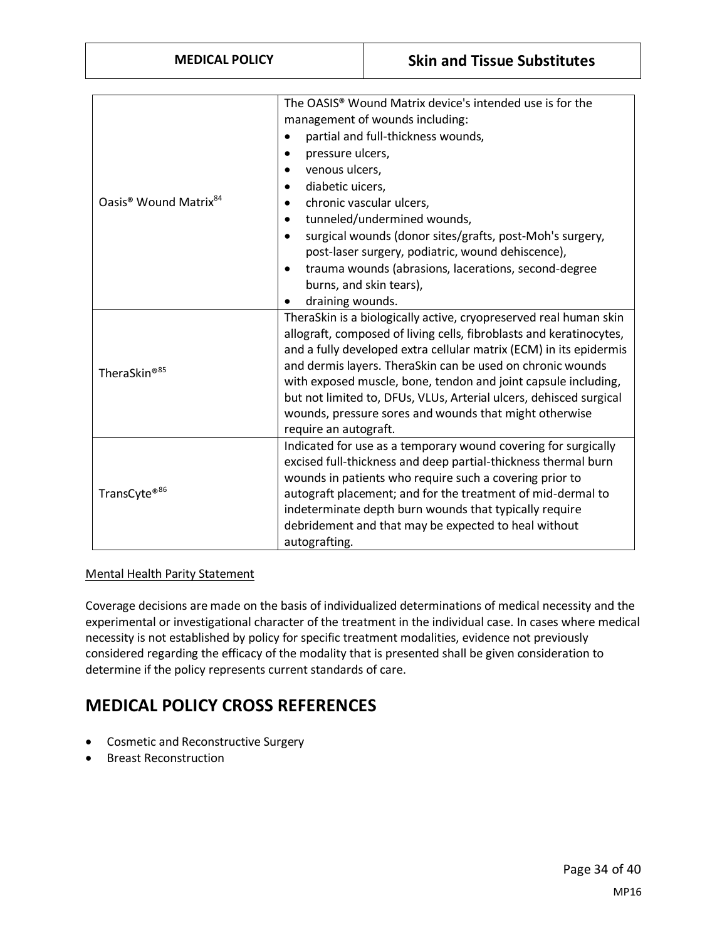| Oasis <sup>®</sup> Wound Matrix <sup>84</sup> | The OASIS <sup>®</sup> Wound Matrix device's intended use is for the                                           |
|-----------------------------------------------|----------------------------------------------------------------------------------------------------------------|
|                                               | management of wounds including:                                                                                |
|                                               | partial and full-thickness wounds,                                                                             |
|                                               | pressure ulcers,                                                                                               |
|                                               | venous ulcers,                                                                                                 |
|                                               | diabetic uicers,                                                                                               |
|                                               | chronic vascular ulcers,                                                                                       |
|                                               | tunneled/undermined wounds,                                                                                    |
|                                               | surgical wounds (donor sites/grafts, post-Moh's surgery,                                                       |
|                                               | post-laser surgery, podiatric, wound dehiscence),                                                              |
|                                               | trauma wounds (abrasions, lacerations, second-degree                                                           |
|                                               | burns, and skin tears),                                                                                        |
|                                               | draining wounds.                                                                                               |
|                                               | TheraSkin is a biologically active, cryopreserved real human skin                                              |
|                                               | allograft, composed of living cells, fibroblasts and keratinocytes,                                            |
|                                               | and a fully developed extra cellular matrix (ECM) in its epidermis                                             |
| TheraSkin®85                                  | and dermis layers. TheraSkin can be used on chronic wounds                                                     |
|                                               | with exposed muscle, bone, tendon and joint capsule including,                                                 |
|                                               | but not limited to, DFUs, VLUs, Arterial ulcers, dehisced surgical                                             |
|                                               | wounds, pressure sores and wounds that might otherwise                                                         |
|                                               | require an autograft.                                                                                          |
| TransCyte®86                                  | Indicated for use as a temporary wound covering for surgically                                                 |
|                                               | excised full-thickness and deep partial-thickness thermal burn                                                 |
|                                               | wounds in patients who require such a covering prior to                                                        |
|                                               | autograft placement; and for the treatment of mid-dermal to                                                    |
|                                               | indeterminate depth burn wounds that typically require<br>debridement and that may be expected to heal without |
|                                               |                                                                                                                |
|                                               | autografting.                                                                                                  |

#### Mental Health Parity Statement

Coverage decisions are made on the basis of individualized determinations of medical necessity and the experimental or investigational character of the treatment in the individual case. In cases where medical necessity is not established by policy for specific treatment modalities, evidence not previously considered regarding the efficacy of the modality that is presented shall be given consideration to determine if the policy represents current standards of care.

# **MEDICAL POLICY CROSS REFERENCES**

- Cosmetic and Reconstructive Surgery
- Breast Reconstruction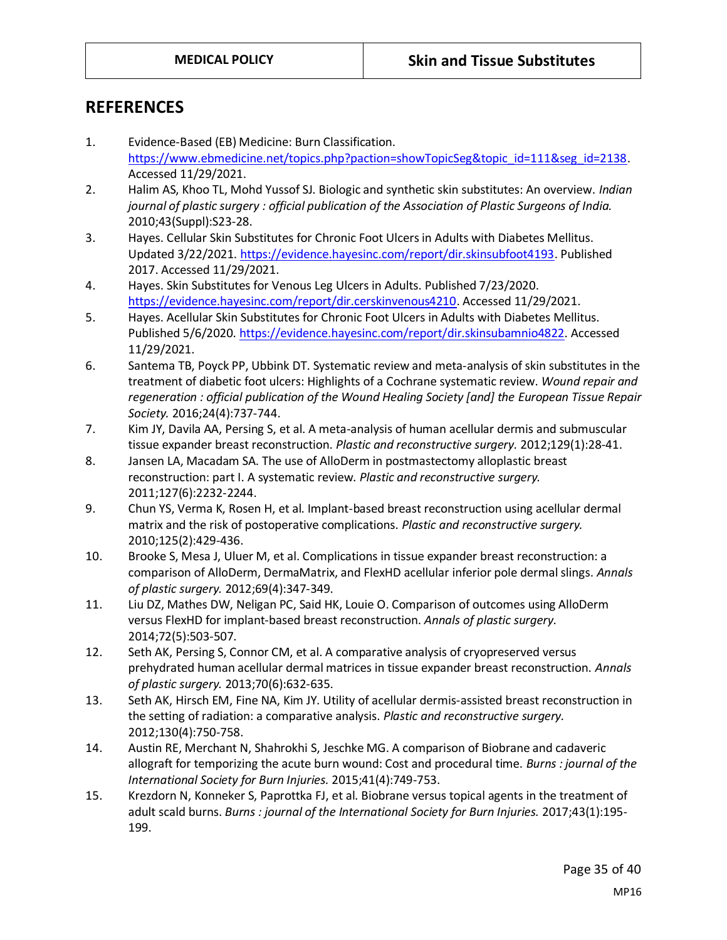### **REFERENCES<sup>87</sup>**

- 1. Evidence-Based (EB) Medicine: Burn Classification. [https://www.ebmedicine.net/topics.php?paction=showTopicSeg&topic\\_id=111&seg\\_id=2138.](https://www.ebmedicine.net/topics.php?paction=showTopicSeg&topic_id=111&seg_id=2138) Accessed 11/29/2021.
- 2. Halim AS, Khoo TL, Mohd Yussof SJ. Biologic and synthetic skin substitutes: An overview. *Indian journal of plastic surgery : official publication of the Association of Plastic Surgeons of India.*  2010;43(Suppl):S23-28.
- 3. Hayes. Cellular Skin Substitutes for Chronic Foot Ulcers in Adults with Diabetes Mellitus. Updated 3/22/2021. [https://evidence.hayesinc.com/report/dir.skinsubfoot4193.](https://evidence.hayesinc.com/report/dir.skinsubfoot4193) Published 2017. Accessed 11/29/2021.
- 4. Hayes. Skin Substitutes for Venous Leg Ulcers in Adults. Published 7/23/2020. [https://evidence.hayesinc.com/report/dir.cerskinvenous4210.](https://evidence.hayesinc.com/report/dir.cerskinvenous4210) Accessed 11/29/2021.
- 5. Hayes. Acellular Skin Substitutes for Chronic Foot Ulcers in Adults with Diabetes Mellitus. Published 5/6/2020[. https://evidence.hayesinc.com/report/dir.skinsubamnio4822.](https://evidence.hayesinc.com/report/dir.skinsubamnio4822) Accessed 11/29/2021.
- 6. Santema TB, Poyck PP, Ubbink DT. Systematic review and meta-analysis of skin substitutes in the treatment of diabetic foot ulcers: Highlights of a Cochrane systematic review. *Wound repair and regeneration : official publication of the Wound Healing Society [and] the European Tissue Repair Society.* 2016;24(4):737-744.
- 7. Kim JY, Davila AA, Persing S, et al. A meta-analysis of human acellular dermis and submuscular tissue expander breast reconstruction. *Plastic and reconstructive surgery.* 2012;129(1):28-41.
- 8. Jansen LA, Macadam SA. The use of AlloDerm in postmastectomy alloplastic breast reconstruction: part I. A systematic review. *Plastic and reconstructive surgery.*  2011;127(6):2232-2244.
- 9. Chun YS, Verma K, Rosen H, et al. Implant-based breast reconstruction using acellular dermal matrix and the risk of postoperative complications. *Plastic and reconstructive surgery.*  2010;125(2):429-436.
- 10. Brooke S, Mesa J, Uluer M, et al. Complications in tissue expander breast reconstruction: a comparison of AlloDerm, DermaMatrix, and FlexHD acellular inferior pole dermal slings. *Annals of plastic surgery.* 2012;69(4):347-349.
- 11. Liu DZ, Mathes DW, Neligan PC, Said HK, Louie O. Comparison of outcomes using AlloDerm versus FlexHD for implant-based breast reconstruction. *Annals of plastic surgery.*  2014;72(5):503-507.
- 12. Seth AK, Persing S, Connor CM, et al. A comparative analysis of cryopreserved versus prehydrated human acellular dermal matrices in tissue expander breast reconstruction. *Annals of plastic surgery.* 2013;70(6):632-635.
- 13. Seth AK, Hirsch EM, Fine NA, Kim JY. Utility of acellular dermis-assisted breast reconstruction in the setting of radiation: a comparative analysis. *Plastic and reconstructive surgery.*  2012;130(4):750-758.
- 14. Austin RE, Merchant N, Shahrokhi S, Jeschke MG. A comparison of Biobrane and cadaveric allograft for temporizing the acute burn wound: Cost and procedural time. *Burns : journal of the International Society for Burn Injuries.* 2015;41(4):749-753.
- 15. Krezdorn N, Konneker S, Paprottka FJ, et al. Biobrane versus topical agents in the treatment of adult scald burns. *Burns : journal of the International Society for Burn Injuries.* 2017;43(1):195- 199.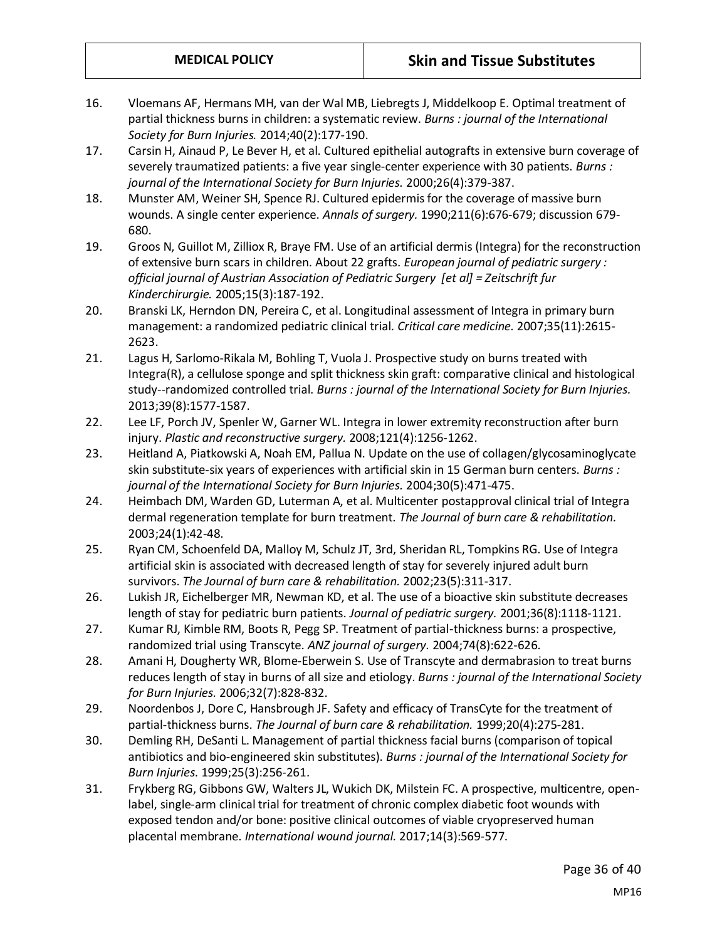- 16. Vloemans AF, Hermans MH, van der Wal MB, Liebregts J, Middelkoop E. Optimal treatment of partial thickness burns in children: a systematic review. *Burns : journal of the International Society for Burn Injuries.* 2014;40(2):177-190.
- 17. Carsin H, Ainaud P, Le Bever H, et al. Cultured epithelial autografts in extensive burn coverage of severely traumatized patients: a five year single-center experience with 30 patients. *Burns : journal of the International Society for Burn Injuries.* 2000;26(4):379-387.
- 18. Munster AM, Weiner SH, Spence RJ. Cultured epidermis for the coverage of massive burn wounds. A single center experience. *Annals of surgery.* 1990;211(6):676-679; discussion 679- 680.
- 19. Groos N, Guillot M, Zilliox R, Braye FM. Use of an artificial dermis (Integra) for the reconstruction of extensive burn scars in children. About 22 grafts. *European journal of pediatric surgery : official journal of Austrian Association of Pediatric Surgery [et al] = Zeitschrift fur Kinderchirurgie.* 2005;15(3):187-192.
- 20. Branski LK, Herndon DN, Pereira C, et al. Longitudinal assessment of Integra in primary burn management: a randomized pediatric clinical trial. *Critical care medicine.* 2007;35(11):2615- 2623.
- 21. Lagus H, Sarlomo-Rikala M, Bohling T, Vuola J. Prospective study on burns treated with Integra(R), a cellulose sponge and split thickness skin graft: comparative clinical and histological study--randomized controlled trial. *Burns : journal of the International Society for Burn Injuries.*  2013;39(8):1577-1587.
- 22. Lee LF, Porch JV, Spenler W, Garner WL. Integra in lower extremity reconstruction after burn injury. *Plastic and reconstructive surgery.* 2008;121(4):1256-1262.
- 23. Heitland A, Piatkowski A, Noah EM, Pallua N. Update on the use of collagen/glycosaminoglycate skin substitute-six years of experiences with artificial skin in 15 German burn centers. *Burns : journal of the International Society for Burn Injuries.* 2004;30(5):471-475.
- 24. Heimbach DM, Warden GD, Luterman A, et al. Multicenter postapproval clinical trial of Integra dermal regeneration template for burn treatment. *The Journal of burn care & rehabilitation.*  2003;24(1):42-48.
- 25. Ryan CM, Schoenfeld DA, Malloy M, Schulz JT, 3rd, Sheridan RL, Tompkins RG. Use of Integra artificial skin is associated with decreased length of stay for severely injured adult burn survivors. *The Journal of burn care & rehabilitation.* 2002;23(5):311-317.
- 26. Lukish JR, Eichelberger MR, Newman KD, et al. The use of a bioactive skin substitute decreases length of stay for pediatric burn patients. *Journal of pediatric surgery.* 2001;36(8):1118-1121.
- 27. Kumar RJ, Kimble RM, Boots R, Pegg SP. Treatment of partial-thickness burns: a prospective, randomized trial using Transcyte. *ANZ journal of surgery.* 2004;74(8):622-626.
- 28. Amani H, Dougherty WR, Blome-Eberwein S. Use of Transcyte and dermabrasion to treat burns reduces length of stay in burns of all size and etiology. *Burns : journal of the International Society for Burn Injuries.* 2006;32(7):828-832.
- 29. Noordenbos J, Dore C, Hansbrough JF. Safety and efficacy of TransCyte for the treatment of partial-thickness burns. *The Journal of burn care & rehabilitation.* 1999;20(4):275-281.
- 30. Demling RH, DeSanti L. Management of partial thickness facial burns (comparison of topical antibiotics and bio-engineered skin substitutes). *Burns : journal of the International Society for Burn Injuries.* 1999;25(3):256-261.
- 31. Frykberg RG, Gibbons GW, Walters JL, Wukich DK, Milstein FC. A prospective, multicentre, openlabel, single-arm clinical trial for treatment of chronic complex diabetic foot wounds with exposed tendon and/or bone: positive clinical outcomes of viable cryopreserved human placental membrane. *International wound journal.* 2017;14(3):569-577.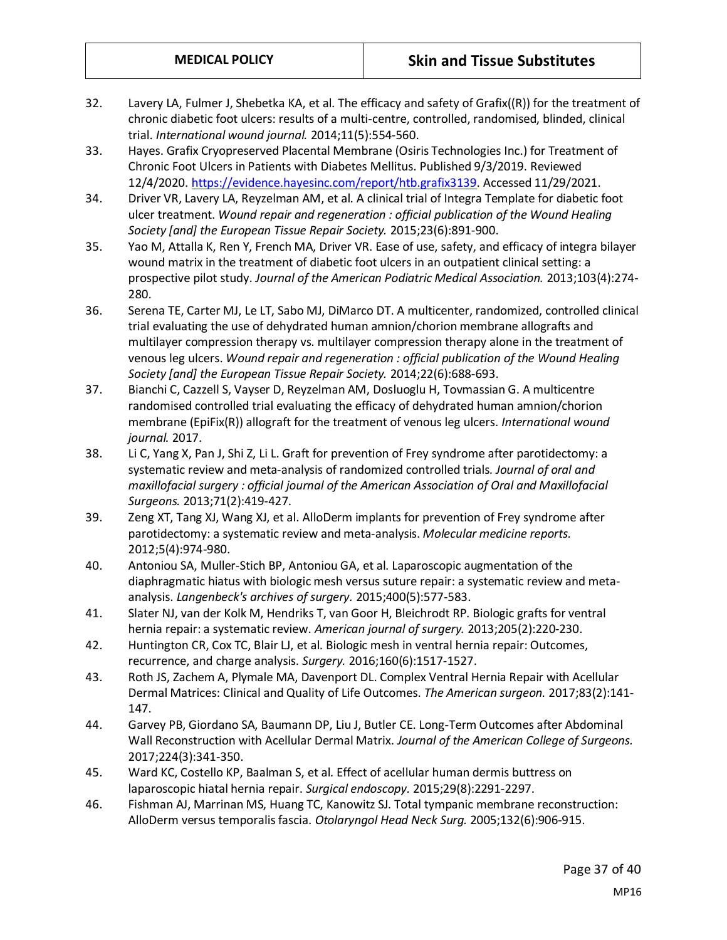- 32. Lavery LA, Fulmer J, Shebetka KA, et al. The efficacy and safety of Grafix((R)) for the treatment of chronic diabetic foot ulcers: results of a multi-centre, controlled, randomised, blinded, clinical trial. *International wound journal.* 2014;11(5):554-560.
- 33. Hayes. Grafix Cryopreserved Placental Membrane (Osiris Technologies Inc.) for Treatment of Chronic Foot Ulcers in Patients with Diabetes Mellitus. Published 9/3/2019. Reviewed 12/4/2020. [https://evidence.hayesinc.com/report/htb.grafix3139.](https://evidence.hayesinc.com/report/htb.grafix3139) Accessed 11/29/2021.
- 34. Driver VR, Lavery LA, Reyzelman AM, et al. A clinical trial of Integra Template for diabetic foot ulcer treatment. *Wound repair and regeneration : official publication of the Wound Healing Society [and] the European Tissue Repair Society.* 2015;23(6):891-900.
- 35. Yao M, Attalla K, Ren Y, French MA, Driver VR. Ease of use, safety, and efficacy of integra bilayer wound matrix in the treatment of diabetic foot ulcers in an outpatient clinical setting: a prospective pilot study. *Journal of the American Podiatric Medical Association.* 2013;103(4):274- 280.
- 36. Serena TE, Carter MJ, Le LT, Sabo MJ, DiMarco DT. A multicenter, randomized, controlled clinical trial evaluating the use of dehydrated human amnion/chorion membrane allografts and multilayer compression therapy vs. multilayer compression therapy alone in the treatment of venous leg ulcers. *Wound repair and regeneration : official publication of the Wound Healing Society [and] the European Tissue Repair Society.* 2014;22(6):688-693.
- 37. Bianchi C, Cazzell S, Vayser D, Reyzelman AM, Dosluoglu H, Tovmassian G. A multicentre randomised controlled trial evaluating the efficacy of dehydrated human amnion/chorion membrane (EpiFix(R)) allograft for the treatment of venous leg ulcers. *International wound journal.* 2017.
- 38. Li C, Yang X, Pan J, Shi Z, Li L. Graft for prevention of Frey syndrome after parotidectomy: a systematic review and meta-analysis of randomized controlled trials. *Journal of oral and maxillofacial surgery : official journal of the American Association of Oral and Maxillofacial Surgeons.* 2013;71(2):419-427.
- 39. Zeng XT, Tang XJ, Wang XJ, et al. AlloDerm implants for prevention of Frey syndrome after parotidectomy: a systematic review and meta-analysis. *Molecular medicine reports.*  2012;5(4):974-980.
- 40. Antoniou SA, Muller-Stich BP, Antoniou GA, et al. Laparoscopic augmentation of the diaphragmatic hiatus with biologic mesh versus suture repair: a systematic review and metaanalysis. *Langenbeck's archives of surgery.* 2015;400(5):577-583.
- 41. Slater NJ, van der Kolk M, Hendriks T, van Goor H, Bleichrodt RP. Biologic grafts for ventral hernia repair: a systematic review. *American journal of surgery.* 2013;205(2):220-230.
- 42. Huntington CR, Cox TC, Blair LJ, et al. Biologic mesh in ventral hernia repair: Outcomes, recurrence, and charge analysis. *Surgery.* 2016;160(6):1517-1527.
- 43. Roth JS, Zachem A, Plymale MA, Davenport DL. Complex Ventral Hernia Repair with Acellular Dermal Matrices: Clinical and Quality of Life Outcomes. *The American surgeon.* 2017;83(2):141- 147.
- 44. Garvey PB, Giordano SA, Baumann DP, Liu J, Butler CE. Long-Term Outcomes after Abdominal Wall Reconstruction with Acellular Dermal Matrix. *Journal of the American College of Surgeons.*  2017;224(3):341-350.
- 45. Ward KC, Costello KP, Baalman S, et al. Effect of acellular human dermis buttress on laparoscopic hiatal hernia repair. *Surgical endoscopy.* 2015;29(8):2291-2297.
- 46. Fishman AJ, Marrinan MS, Huang TC, Kanowitz SJ. Total tympanic membrane reconstruction: AlloDerm versus temporalis fascia. *Otolaryngol Head Neck Surg.* 2005;132(6):906-915.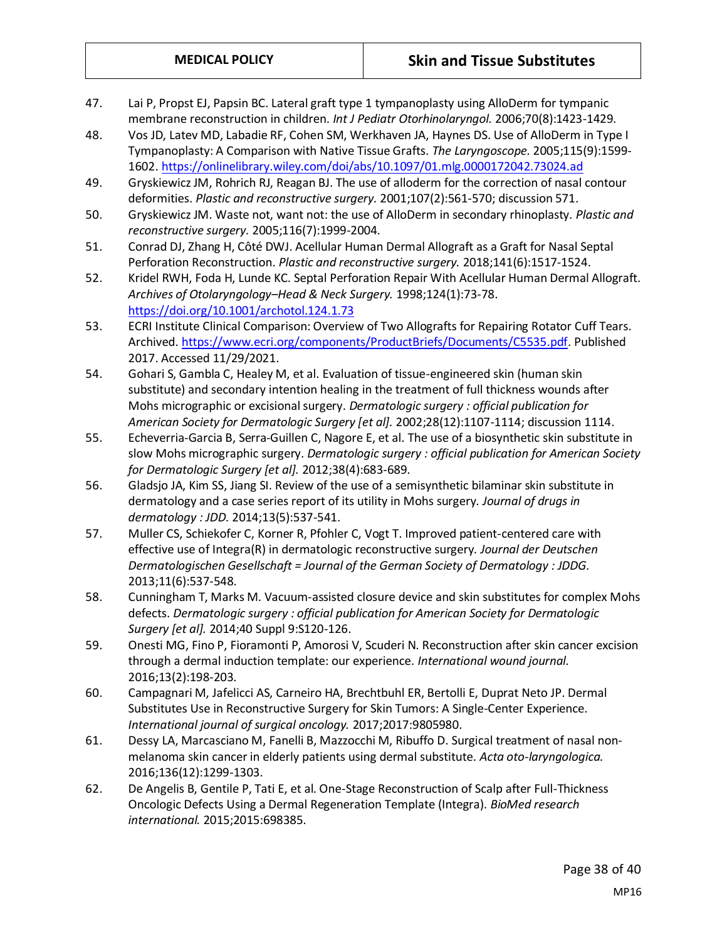- 47. Lai P, Propst EJ, Papsin BC. Lateral graft type 1 tympanoplasty using AlloDerm for tympanic membrane reconstruction in children. *Int J Pediatr Otorhinolaryngol.* 2006;70(8):1423-1429.
- 48. Vos JD, Latev MD, Labadie RF, Cohen SM, Werkhaven JA, Haynes DS. Use of AlloDerm in Type I Tympanoplasty: A Comparison with Native Tissue Grafts. *The Laryngoscope.* 2005;115(9):1599- 1602[. https://onlinelibrary.wiley.com/doi/abs/10.1097/01.mlg.0000172042.73024.ad](https://onlinelibrary.wiley.com/doi/abs/10.1097/01.mlg.0000172042.73024.ad)
- 49. Gryskiewicz JM, Rohrich RJ, Reagan BJ. The use of alloderm for the correction of nasal contour deformities. *Plastic and reconstructive surgery.* 2001;107(2):561-570; discussion 571.
- 50. Gryskiewicz JM. Waste not, want not: the use of AlloDerm in secondary rhinoplasty. *Plastic and reconstructive surgery.* 2005;116(7):1999-2004.
- 51. Conrad DJ, Zhang H, Côté DWJ. Acellular Human Dermal Allograft as a Graft for Nasal Septal Perforation Reconstruction. *Plastic and reconstructive surgery.* 2018;141(6):1517-1524.
- 52. Kridel RWH, Foda H, Lunde KC. Septal Perforation Repair With Acellular Human Dermal Allograft. *Archives of Otolaryngology–Head & Neck Surgery.* 1998;124(1):73-78. <https://doi.org/10.1001/archotol.124.1.73>
- 53. ECRI Institute Clinical Comparison: Overview of Two Allografts for Repairing Rotator Cuff Tears. Archived[. https://www.ecri.org/components/ProductBriefs/Documents/C5535.pdf.](https://www.ecri.org/components/ProductBriefs/Documents/C5535.pdf) Published 2017. Accessed 11/29/2021.
- 54. Gohari S, Gambla C, Healey M, et al. Evaluation of tissue-engineered skin (human skin substitute) and secondary intention healing in the treatment of full thickness wounds after Mohs micrographic or excisional surgery. *Dermatologic surgery : official publication for American Society for Dermatologic Surgery [et al].* 2002;28(12):1107-1114; discussion 1114.
- 55. Echeverria-Garcia B, Serra-Guillen C, Nagore E, et al. The use of a biosynthetic skin substitute in slow Mohs micrographic surgery. *Dermatologic surgery : official publication for American Society for Dermatologic Surgery [et al].* 2012;38(4):683-689.
- 56. Gladsjo JA, Kim SS, Jiang SI. Review of the use of a semisynthetic bilaminar skin substitute in dermatology and a case series report of its utility in Mohs surgery. *Journal of drugs in dermatology : JDD.* 2014;13(5):537-541.
- 57. Muller CS, Schiekofer C, Korner R, Pfohler C, Vogt T. Improved patient-centered care with effective use of Integra(R) in dermatologic reconstructive surgery. *Journal der Deutschen Dermatologischen Gesellschaft = Journal of the German Society of Dermatology : JDDG.*  2013;11(6):537-548.
- 58. Cunningham T, Marks M. Vacuum-assisted closure device and skin substitutes for complex Mohs defects. *Dermatologic surgery : official publication for American Society for Dermatologic Surgery [et al].* 2014;40 Suppl 9:S120-126.
- 59. Onesti MG, Fino P, Fioramonti P, Amorosi V, Scuderi N. Reconstruction after skin cancer excision through a dermal induction template: our experience. *International wound journal.*  2016;13(2):198-203.
- 60. Campagnari M, Jafelicci AS, Carneiro HA, Brechtbuhl ER, Bertolli E, Duprat Neto JP. Dermal Substitutes Use in Reconstructive Surgery for Skin Tumors: A Single-Center Experience. *International journal of surgical oncology.* 2017;2017:9805980.
- 61. Dessy LA, Marcasciano M, Fanelli B, Mazzocchi M, Ribuffo D. Surgical treatment of nasal nonmelanoma skin cancer in elderly patients using dermal substitute. *Acta oto-laryngologica.*  2016;136(12):1299-1303.
- 62. De Angelis B, Gentile P, Tati E, et al. One-Stage Reconstruction of Scalp after Full-Thickness Oncologic Defects Using a Dermal Regeneration Template (Integra). *BioMed research international.* 2015;2015:698385.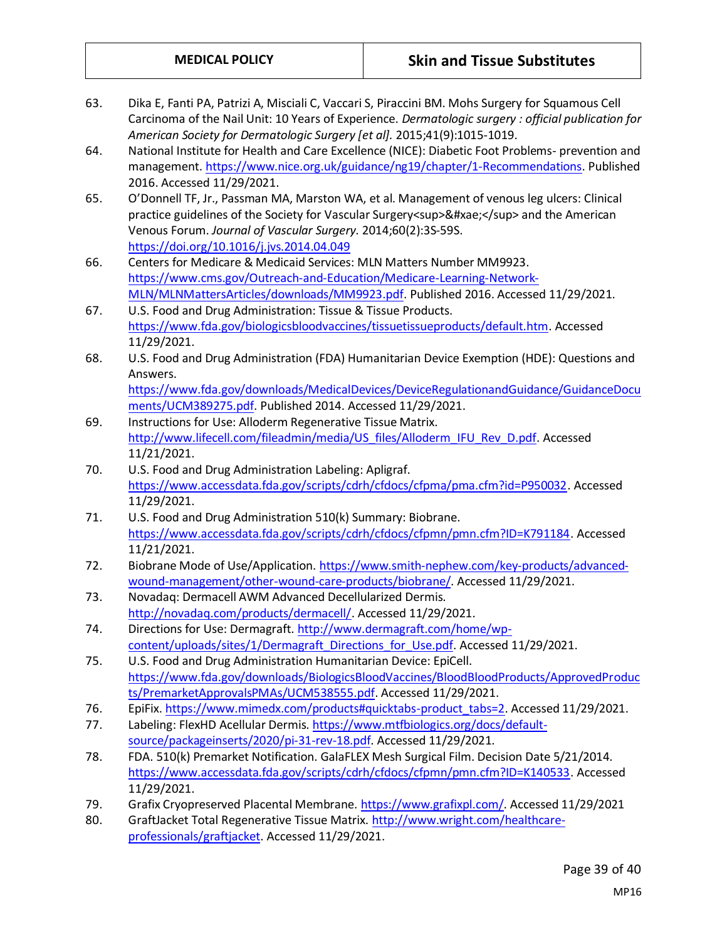- 63. Dika E, Fanti PA, Patrizi A, Misciali C, Vaccari S, Piraccini BM. Mohs Surgery for Squamous Cell Carcinoma of the Nail Unit: 10 Years of Experience. *Dermatologic surgery : official publication for American Society for Dermatologic Surgery [et al].* 2015;41(9):1015-1019. 64. National Institute for Health and Care Excellence (NICE): Diabetic Foot Problems- prevention and management[. https://www.nice.org.uk/guidance/ng19/chapter/1-Recommendations.](https://www.nice.org.uk/guidance/ng19/chapter/1-Recommendations) Published 2016. Accessed 11/29/2021. 65. O'Donnell TF, Jr., Passman MA, Marston WA, et al. Management of venous leg ulcers: Clinical practice guidelines of the Society for Vascular Surgery<sup>&#xae;</sup> and the American Venous Forum. *Journal of Vascular Surgery.* 2014;60(2):3S-59S. <https://doi.org/10.1016/j.jvs.2014.04.049> 66. Centers for Medicare & Medicaid Services: MLN Matters Number MM9923. [https://www.cms.gov/Outreach-and-Education/Medicare-Learning-Network-](https://www.cms.gov/Outreach-and-Education/Medicare-Learning-Network-MLN/MLNMattersArticles/downloads/MM9923.pdf)[MLN/MLNMattersArticles/downloads/MM9923.pdf.](https://www.cms.gov/Outreach-and-Education/Medicare-Learning-Network-MLN/MLNMattersArticles/downloads/MM9923.pdf) Published 2016. Accessed 11/29/2021. 67. U.S. Food and Drug Administration: Tissue & Tissue Products. [https://www.fda.gov/biologicsbloodvaccines/tissuetissueproducts/default.htm.](https://www.fda.gov/biologicsbloodvaccines/tissuetissueproducts/default.htm) Accessed 11/29/2021. 68. U.S. Food and Drug Administration (FDA) Humanitarian Device Exemption (HDE): Questions and Answers. [https://www.fda.gov/downloads/MedicalDevices/DeviceRegulationandGuidance/GuidanceDocu](https://www.fda.gov/downloads/MedicalDevices/DeviceRegulationandGuidance/GuidanceDocuments/UCM389275.pdf) [ments/UCM389275.pdf.](https://www.fda.gov/downloads/MedicalDevices/DeviceRegulationandGuidance/GuidanceDocuments/UCM389275.pdf) Published 2014. Accessed 11/29/2021. 69. Instructions for Use: Alloderm Regenerative Tissue Matrix. [http://www.lifecell.com/fileadmin/media/US\\_files/Alloderm\\_IFU\\_Rev\\_D.pdf.](http://www.lifecell.com/fileadmin/media/US_files/Alloderm_IFU_Rev_D.pdf) Accessed 11/21/2021. 70. U.S. Food and Drug Administration Labeling: Apligraf. [https://www.accessdata.fda.gov/scripts/cdrh/cfdocs/cfpma/pma.cfm?id=P950032.](https://www.accessdata.fda.gov/scripts/cdrh/cfdocs/cfpma/pma.cfm?id=P950032) Accessed 11/29/2021. 71. U.S. Food and Drug Administration 510(k) Summary: Biobrane. [https://www.accessdata.fda.gov/scripts/cdrh/cfdocs/cfpmn/pmn.cfm?ID=K791184.](https://www.accessdata.fda.gov/scripts/cdrh/cfdocs/cfpmn/pmn.cfm?ID=K791184) Accessed 11/21/2021. 72. Biobrane Mode of Use/Application[. https://www.smith-nephew.com/key-products/advanced](https://www.smith-nephew.com/key-products/advanced-wound-management/other-wound-care-products/biobrane/)[wound-management/other-wound-care-products/biobrane/.](https://www.smith-nephew.com/key-products/advanced-wound-management/other-wound-care-products/biobrane/) Accessed 11/29/2021. 73. Novadaq: Dermacell AWM Advanced Decellularized Dermis. [http://novadaq.com/products/dermacell/.](http://novadaq.com/products/dermacell/) Accessed 11/29/2021. 74. Directions for Use: Dermagraft. [http://www.dermagraft.com/home/wp](http://www.dermagraft.com/home/wp-content/uploads/sites/1/Dermagraft_Directions_for_Use.pdf)[content/uploads/sites/1/Dermagraft\\_Directions\\_for\\_Use.pdf.](http://www.dermagraft.com/home/wp-content/uploads/sites/1/Dermagraft_Directions_for_Use.pdf) Accessed 11/29/2021. 75. U.S. Food and Drug Administration Humanitarian Device: EpiCell. [https://www.fda.gov/downloads/BiologicsBloodVaccines/BloodBloodProducts/ApprovedProduc](https://www.fda.gov/downloads/BiologicsBloodVaccines/BloodBloodProducts/ApprovedProducts/PremarketApprovalsPMAs/UCM538555.pdf) [ts/PremarketApprovalsPMAs/UCM538555.pdf.](https://www.fda.gov/downloads/BiologicsBloodVaccines/BloodBloodProducts/ApprovedProducts/PremarketApprovalsPMAs/UCM538555.pdf) Accessed 11/29/2021. 76. EpiFix. [https://www.mimedx.com/products#quicktabs-product\\_tabs=2.](https://www.mimedx.com/products#quicktabs-product_tabs=2) Accessed 11/29/2021. 77. Labeling: FlexHD Acellular Dermis. [https://www.mtfbiologics.org/docs/default](https://www.mtfbiologics.org/docs/default-source/packageinserts/2020/pi-31-rev-18.pdf)[source/packageinserts/2020/pi-31-rev-18.pdf.](https://www.mtfbiologics.org/docs/default-source/packageinserts/2020/pi-31-rev-18.pdf) Accessed 11/29/2021. 78. FDA. 510(k) Premarket Notification. GalaFLEX Mesh Surgical Film. Decision Date 5/21/2014. [https://www.accessdata.fda.gov/scripts/cdrh/cfdocs/cfpmn/pmn.cfm?ID=K140533.](https://www.accessdata.fda.gov/scripts/cdrh/cfdocs/cfpmn/pmn.cfm?ID=K140533) Accessed 11/29/2021. 79. Grafix Cryopreserved Placental Membrane[. https://www.grafixpl.com/.](https://www.grafixpl.com/) Accessed 11/29/2021
- 80. GraftJacket Total Regenerative Tissue Matrix. [http://www.wright.com/healthcare](http://www.wright.com/healthcare-professionals/graftjacket)[professionals/graftjacket.](http://www.wright.com/healthcare-professionals/graftjacket) Accessed 11/29/2021.